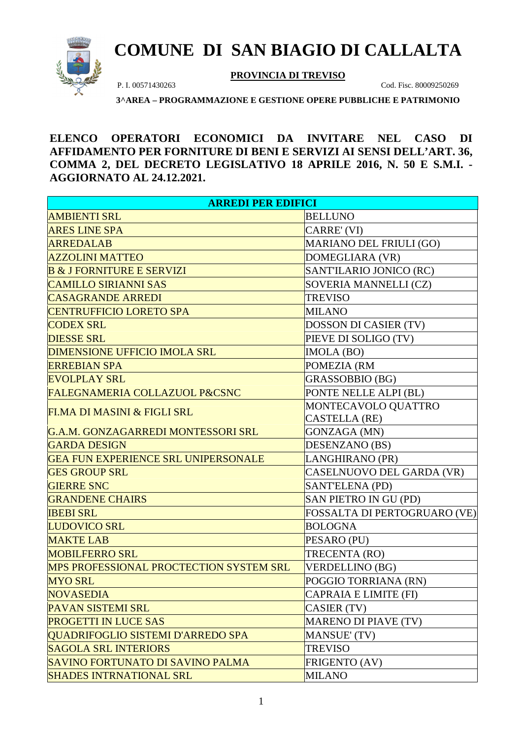

## **COMUNE DI SAN BIAGIO DI CALLALTA**

**PROVINCIA DI TREVISO**

P. I. 00571430263 Cod. Fisc. 80009250269

**3^AREA – PROGRAMMAZIONE E GESTIONE OPERE PUBBLICHE E PATRIMONIO**

**ELENCO OPERATORI ECONOMICI DA INVITARE NEL CASO DI AFFIDAMENTO PER FORNITURE DI BENI E SERVIZI AI SENSI DELL'ART. 36, COMMA 2, DEL DECRETO LEGISLATIVO 18 APRILE 2016, N. 50 E S.M.I. - AGGIORNATO AL 24.12.2021.** 

| <b>ARREDI PER EDIFICI</b>                      |                                |  |
|------------------------------------------------|--------------------------------|--|
| <b>AMBIENTI SRL</b>                            | <b>BELLUNO</b>                 |  |
| <b>ARES LINE SPA</b>                           | CARRE' (VI)                    |  |
| <b>ARREDALAB</b>                               | <b>MARIANO DEL FRIULI (GO)</b> |  |
| <b>AZZOLINI MATTEO</b>                         | DOMEGLIARA (VR)                |  |
| <b>B &amp; J FORNITURE E SERVIZI</b>           | SANT'ILARIO JONICO (RC)        |  |
| <b>CAMILLO SIRIANNI SAS</b>                    | SOVERIA MANNELLI (CZ)          |  |
| <b>CASAGRANDE ARREDI</b>                       | <b>TREVISO</b>                 |  |
| <b>CENTRUFFICIO LORETO SPA</b>                 | <b>MILANO</b>                  |  |
| <b>CODEX SRL</b>                               | DOSSON DI CASIER (TV)          |  |
| <b>DIESSE SRL</b>                              | PIEVE DI SOLIGO (TV)           |  |
| <b>DIMENSIONE UFFICIO IMOLA SRL</b>            | IMOLA (BO)                     |  |
| <b>ERREBIAN SPA</b>                            | POMEZIA (RM                    |  |
| <b>EVOLPLAY SRL</b>                            | <b>GRASSOBBIO (BG)</b>         |  |
| <b>FALEGNAMERIA COLLAZUOL P&amp;CSNC</b>       | PONTE NELLE ALPI (BL)          |  |
| FI.MA DI MASINI & FIGLI SRL                    | MONTECAVOLO QUATTRO            |  |
|                                                | <b>CASTELLA</b> (RE)           |  |
| G.A.M. GONZAGARREDI MONTESSORI SRL             | <b>GONZAGA (MN)</b>            |  |
| <b>GARDA DESIGN</b>                            | DESENZANO (BS)                 |  |
| <b>GEA FUN EXPERIENCE SRL UNIPERSONALE</b>     | LANGHIRANO (PR)                |  |
| <b>GES GROUP SRL</b>                           | CASELNUOVO DEL GARDA (VR)      |  |
| <b>GIERRE SNC</b>                              | <b>SANT'ELENA (PD)</b>         |  |
| <b>GRANDENE CHAIRS</b>                         | SAN PIETRO IN GU (PD)          |  |
| <b>IBEBI SRL</b>                               | FOSSALTA DI PERTOGRUARO (VE)   |  |
| <b>LUDOVICO SRL</b>                            | <b>BOLOGNA</b>                 |  |
| <b>MAKTE LAB</b>                               | PESARO (PU)                    |  |
| <b>MOBILFERRO SRL</b>                          | TRECENTA (RO)                  |  |
| <b>MPS PROFESSIONAL PROCTECTION SYSTEM SRL</b> | <b>VERDELLINO (BG)</b>         |  |
| <b>MYO SRL</b>                                 | POGGIO TORRIANA (RN)           |  |
| <b>NOVASEDIA</b>                               | CAPRAIA E LIMITE (FI)          |  |
| <b>PAVAN SISTEMI SRL</b>                       | CASIER (TV)                    |  |
| <b>PROGETTI IN LUCE SAS</b>                    | <b>MARENO DI PIAVE (TV)</b>    |  |
| QUADRIFOGLIO SISTEMI D'ARREDO SPA              | <b>MANSUE' (TV)</b>            |  |
| <b>SAGOLA SRL INTERIORS</b>                    | <b>TREVISO</b>                 |  |
| SAVINO FORTUNATO DI SAVINO PALMA               | FRIGENTO (AV)                  |  |
| <b>SHADES INTRNATIONAL SRL</b>                 | <b>MILANO</b>                  |  |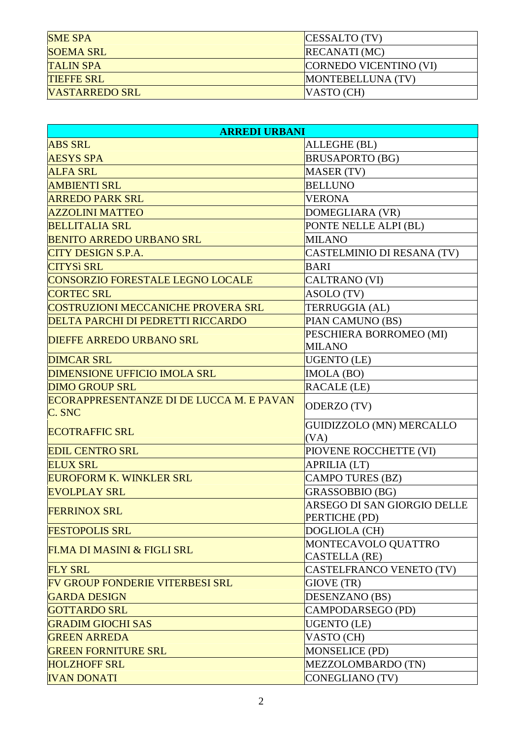| <b>SME SPA</b>        | CESSALTO (TV)          |
|-----------------------|------------------------|
| <b>SOEMA SRL</b>      | <b>RECANATI</b> (MC)   |
| <b>TALIN SPA</b>      | CORNEDO VICENTINO (VI) |
| <b>TIEFFE SRL</b>     | MONTEBELLUNA (TV)      |
| <b>VASTARREDO SRL</b> | $VASTO$ (CH)           |

| <b>ARREDI URBANI</b>                               |                                         |
|----------------------------------------------------|-----------------------------------------|
| <b>ABS SRL</b>                                     | ALLEGHE (BL)                            |
| <b>AESYS SPA</b>                                   | <b>BRUSAPORTO (BG)</b>                  |
| <b>ALFA SRL</b>                                    | <b>MASER (TV)</b>                       |
| <b>AMBIENTI SRL</b>                                | <b>BELLUNO</b>                          |
| <b>ARREDO PARK SRL</b>                             | <b>VERONA</b>                           |
| <b>AZZOLINI MATTEO</b>                             | DOMEGLIARA (VR)                         |
| <b>BELLITALIA SRL</b>                              | PONTE NELLE ALPI (BL)                   |
| <b>BENITO ARREDO URBANO SRL</b>                    | <b>MILANO</b>                           |
| <b>CITY DESIGN S.P.A.</b>                          | CASTELMINIO DI RESANA (TV)              |
| <b>CITYSì SRL</b>                                  | <b>BARI</b>                             |
| <b>CONSORZIO FORESTALE LEGNO LOCALE</b>            | <b>CALTRANO (VI)</b>                    |
| <b>CORTEC SRL</b>                                  | ASOLO (TV)                              |
| <b>COSTRUZIONI MECCANICHE PROVERA SRL</b>          | TERRUGGIA (AL)                          |
| <b>DELTA PARCHI DI PEDRETTI RICCARDO</b>           | PIAN CAMUNO (BS)                        |
| <b>DIEFFE ARREDO URBANO SRL</b>                    | PESCHIERA BORROMEO (MI)                 |
|                                                    | <b>MILANO</b>                           |
| <b>DIMCAR SRL</b>                                  | <b>UGENTO</b> (LE)                      |
| <b>DIMENSIONE UFFICIO IMOLA SRL</b>                | IMOLA (BO)                              |
| <b>DIMO GROUP SRL</b>                              | RACALE (LE)                             |
| ECORAPPRESENTANZE DI DE LUCCA M. E PAVAN<br>C. SNC | ODERZO (TV)                             |
| <b>ECOTRAFFIC SRL</b>                              | <b>GUIDIZZOLO (MN) MERCALLO</b><br>(VA) |
| <b>EDIL CENTRO SRL</b>                             | PIOVENE ROCCHETTE (VI)                  |
| <b>ELUX SRL</b>                                    | <b>APRILIA (LT)</b>                     |
| <b>EUROFORM K. WINKLER SRL</b>                     | <b>CAMPO TURES (BZ)</b>                 |
| <b>EVOLPLAY SRL</b>                                | GRASSOBBIO (BG)                         |
|                                                    | ARSEGO DI SAN GIORGIO DELLE             |
| <b>FERRINOX SRL</b>                                | PERTICHE (PD)                           |
| <b>FESTOPOLIS SRL</b>                              | DOGLIOLA (CH)                           |
| FI.MA DI MASINI & FIGLI SRL                        | MONTECAVOLO QUATTRO                     |
|                                                    | <b>CASTELLA</b> (RE)                    |
| <b>FLY SRL</b>                                     | CASTELFRANCO VENETO (TV)                |
| <b>FV GROUP FONDERIE VITERBESI SRL</b>             | GIOVE (TR)                              |
| <b>GARDA DESIGN</b>                                | DESENZANO (BS)                          |
| <b>GOTTARDO SRL</b>                                | CAMPODARSEGO (PD)                       |
| <b>GRADIM GIOCHI SAS</b>                           | <b>UGENTO</b> (LE)                      |
| <b>GREEN ARREDA</b>                                | VASTO (CH)                              |
| <b>GREEN FORNITURE SRL</b>                         | <b>MONSELICE (PD)</b>                   |
| <b>HOLZHOFF SRL</b>                                | MEZZOLOMBARDO (TN)                      |
| <b>IVAN DONATI</b>                                 | <b>CONEGLIANO (TV)</b>                  |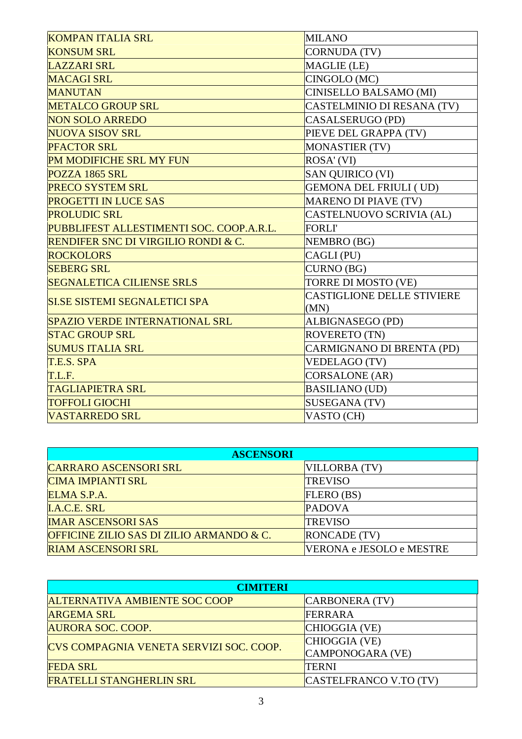| <b>KOMPAN ITALIA SRL</b>                       | <b>MILANO</b>                     |
|------------------------------------------------|-----------------------------------|
| <b>KONSUM SRL</b>                              | <b>CORNUDA (TV)</b>               |
| <b>LAZZARI SRL</b>                             | MAGLIE (LE)                       |
| <b>MACAGI SRL</b>                              | CINGOLO (MC)                      |
| <b>MANUTAN</b>                                 | <b>CINISELLO BALSAMO (MI)</b>     |
| <b>METALCO GROUP SRL</b>                       | CASTELMINIO DI RESANA (TV)        |
| <b>NON SOLO ARREDO</b>                         | CASALSERUGO (PD)                  |
| <b>NUOVA SISOV SRL</b>                         | PIEVE DEL GRAPPA (TV)             |
| <b>PFACTOR SRL</b>                             | <b>MONASTIER (TV)</b>             |
| PM MODIFICHE SRL MY FUN                        | ROSA' (VI)                        |
| POZZA 1865 SRL                                 | <b>SAN QUIRICO (VI)</b>           |
| <b>PRECO SYSTEM SRL</b>                        | <b>GEMONA DEL FRIULI (UD)</b>     |
| <b>PROGETTI IN LUCE SAS</b>                    | <b>MARENO DI PIAVE (TV)</b>       |
| <b>PROLUDIC SRL</b>                            | CASTELNUOVO SCRIVIA (AL)          |
| PUBBLIFEST ALLESTIMENTI SOC. COOP.A.R.L.       | <b>FORLI'</b>                     |
| <b>RENDIFER SNC DI VIRGILIO RONDI &amp; C.</b> | NEMBRO (BG)                       |
| <b>ROCKOLORS</b>                               | CAGLI (PU)                        |
| <b>SEBERG SRL</b>                              | <b>CURNO</b> (BG)                 |
| <b>SEGNALETICA CILIENSE SRLS</b>               | TORRE DI MOSTO (VE)               |
| <b>SI.SE SISTEMI SEGNALETICI SPA</b>           | <b>CASTIGLIONE DELLE STIVIERE</b> |
|                                                | (MN)                              |
| <b>SPAZIO VERDE INTERNATIONAL SRL</b>          | ALBIGNASEGO (PD)                  |
| <b>STAC GROUP SRL</b>                          | <b>ROVERETO (TN)</b>              |
| <b>SUMUS ITALIA SRL</b>                        | CARMIGNANO DI BRENTA (PD)         |
| T.E.S. SPA                                     | <b>VEDELAGO (TV)</b>              |
| T.L.F.                                         | CORSALONE (AR)                    |
| <b>TAGLIAPIETRA SRL</b>                        | <b>BASILIANO (UD)</b>             |
| <b>TOFFOLI GIOCHI</b>                          | <b>SUSEGANA (TV)</b>              |
| <b>VASTARREDO SRL</b>                          | VASTO (CH)                        |

| <b>ASCENSORI</b>                         |                          |
|------------------------------------------|--------------------------|
| <b>CARRARO ASCENSORI SRL</b>             | VILLORBA (TV)            |
| <b>CIMA IMPIANTI SRL</b>                 | <b>TREVISO</b>           |
| ELMA S.P.A.                              | FLERO (BS)               |
| <b>I.A.C.E. SRL</b>                      | <b>PADOVA</b>            |
| <b>IMAR ASCENSORI SAS</b>                | <b>TREVISO</b>           |
| OFFICINE ZILIO SAS DI ZILIO ARMANDO & C. | <b>RONCADE</b> (TV)      |
| <b>RIAM ASCENSORI SRL</b>                | VERONA e JESOLO e MESTRE |

| <b>CIMITERI</b>                         |                        |
|-----------------------------------------|------------------------|
| <b>ALTERNATIVA AMBIENTE SOC COOP</b>    | CARBONERA (TV)         |
| <b>ARGEMA SRL</b>                       | FERRARA                |
| <b>AURORA SOC. COOP.</b>                | CHIOGGIA (VE)          |
| CVS COMPAGNIA VENETA SERVIZI SOC. COOP. | CHIOGGIA (VE)          |
|                                         | CAMPONOGARA (VE)       |
| <b>FEDA SRL</b>                         | <b>TERNI</b>           |
| <b>FRATELLI STANGHERLIN SRL</b>         | CASTELFRANCO V.TO (TV) |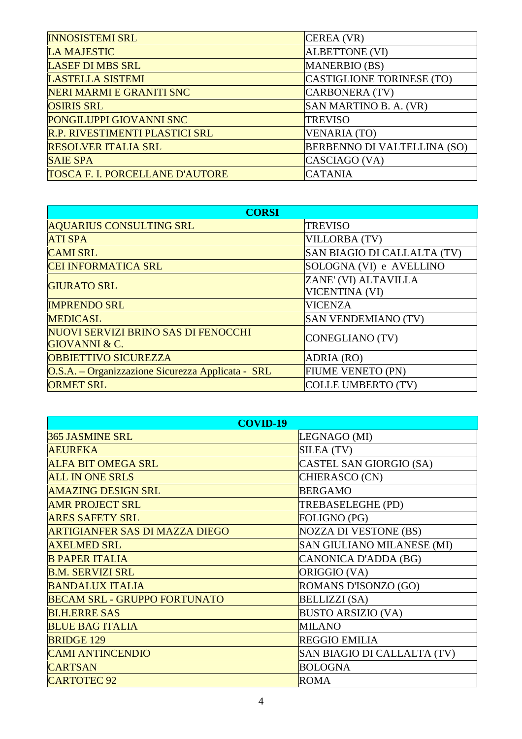| <b>INNOSISTEMI SRL</b>                 | CEREA (VR)                         |
|----------------------------------------|------------------------------------|
| <b>LA MAJESTIC</b>                     | <b>ALBETTONE (VI)</b>              |
| <b>LASEF DI MBS SRL</b>                | <b>MANERBIO (BS)</b>               |
| <b>LASTELLA SISTEMI</b>                | CASTIGLIONE TORINESE (TO)          |
| NERI MARMI E GRANITI SNC               | CARBONERA (TV)                     |
| <b>OSIRIS SRL</b>                      | SAN MARTINO B. A. (VR)             |
| PONGILUPPI GIOVANNI SNC                | <b>TREVISO</b>                     |
| R.P. RIVESTIMENTI PLASTICI SRL         | <b>VENARIA (TO)</b>                |
| <b>RESOLVER ITALIA SRL</b>             | <b>BERBENNO DI VALTELLINA (SO)</b> |
| <b>SAIE SPA</b>                        | CASCIAGO (VA)                      |
| <b>TOSCA F. I. PORCELLANE D'AUTORE</b> | <b>CATANIA</b>                     |

| <b>CORSI</b>                                      |                             |
|---------------------------------------------------|-----------------------------|
| <b>AQUARIUS CONSULTING SRL</b>                    | <b>TREVISO</b>              |
| <b>ATI SPA</b>                                    | <b>VILLORBA (TV)</b>        |
| <b>CAMI SRL</b>                                   | SAN BIAGIO DI CALLALTA (TV) |
| <b>CEI INFORMATICA SRL</b>                        | SOLOGNA (VI) e AVELLINO     |
| <b>GIURATO SRL</b>                                | ZANE' (VI) ALTAVILLA        |
|                                                   | <b>VICENTINA (VI)</b>       |
| <b>IMPRENDO SRL</b>                               | <b>VICENZA</b>              |
| <b>MEDICASL</b>                                   | <b>SAN VENDEMIANO (TV)</b>  |
| NUOVI SERVIZI BRINO SAS DI FENOCCHI               | CONEGLIANO (TV)             |
| <b>GIOVANNI &amp; C.</b>                          |                             |
| <b>OBBIETTIVO SICUREZZA</b>                       | ADRIA (RO)                  |
| O.S.A. – Organizzazione Sicurezza Applicata - SRL | <b>FIUME VENETO (PN)</b>    |
| <b>ORMET SRL</b>                                  | <b>COLLE UMBERTO (TV)</b>   |

| <b>COVID-19</b>                       |                              |
|---------------------------------------|------------------------------|
| 365 JASMINE SRL                       | LEGNAGO (MI)                 |
| <b>AEUREKA</b>                        | SILEA (TV)                   |
| <b>ALFA BIT OMEGA SRL</b>             | CASTEL SAN GIORGIO (SA)      |
| <b>ALL IN ONE SRLS</b>                | CHIERASCO (CN)               |
| <b>AMAZING DESIGN SRL</b>             | <b>BERGAMO</b>               |
| <b>AMR PROJECT SRL</b>                | TREBASELEGHE (PD)            |
| <b>ARES SAFETY SRL</b>                | FOLIGNO (PG)                 |
| <b>ARTIGIANFER SAS DI MAZZA DIEGO</b> | <b>NOZZA DI VESTONE (BS)</b> |
| <b>AXELMED SRL</b>                    | SAN GIULIANO MILANESE (MI)   |
| <b>B PAPER ITALIA</b>                 | CANONICA D'ADDA (BG)         |
| <b>B.M. SERVIZI SRL</b>               | ORIGGIO (VA)                 |
| <b>BANDALUX ITALIA</b>                | ROMANS D'ISONZO (GO)         |
| <b>BECAM SRL - GRUPPO FORTUNATO</b>   | <b>BELLIZZI</b> (SA)         |
| <b>BI.H.ERRE SAS</b>                  | <b>BUSTO ARSIZIO (VA)</b>    |
| <b>BLUE BAG ITALIA</b>                | <b>MILANO</b>                |
| <b>BRIDGE 129</b>                     | <b>REGGIO EMILIA</b>         |
| <b>CAMI ANTINCENDIO</b>               | SAN BIAGIO DI CALLALTA (TV)  |
| <b>CARTSAN</b>                        | <b>BOLOGNA</b>               |
| <b>CARTOTEC 92</b>                    | <b>ROMA</b>                  |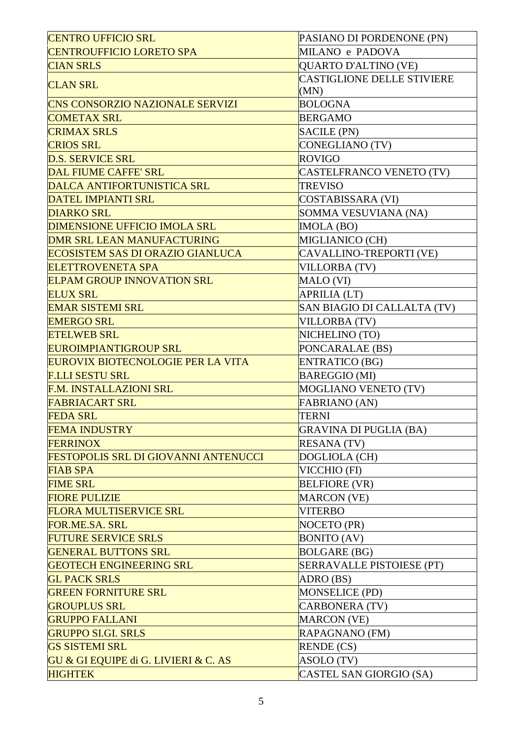| <b>CENTRO UFFICIO SRL</b>                   | PASIANO DI PORDENONE (PN)         |
|---------------------------------------------|-----------------------------------|
| <b>CENTROUFFICIO LORETO SPA</b>             | MILANO e PADOVA                   |
| <b>CIAN SRLS</b>                            | <b>QUARTO D'ALTINO (VE)</b>       |
|                                             | <b>CASTIGLIONE DELLE STIVIERE</b> |
| <b>CLAN SRL</b>                             | (MN)                              |
| <b>CNS CONSORZIO NAZIONALE SERVIZI</b>      | <b>BOLOGNA</b>                    |
| <b>COMETAX SRL</b>                          | <b>BERGAMO</b>                    |
| <b>CRIMAX SRLS</b>                          | <b>SACILE (PN)</b>                |
| <b>CRIOS SRL</b>                            | CONEGLIANO (TV)                   |
| <b>D.S. SERVICE SRL</b>                     | <b>ROVIGO</b>                     |
| <b>DAL FIUME CAFFE' SRL</b>                 | CASTELFRANCO VENETO (TV)          |
| <b>DALCA ANTIFORTUNISTICA SRL</b>           | <b>TREVISO</b>                    |
| <b>DATEL IMPIANTI SRL</b>                   | <b>COSTABISSARA (VI)</b>          |
| <b>DIARKO SRL</b>                           | SOMMA VESUVIANA (NA)              |
| <b>DIMENSIONE UFFICIO IMOLA SRL</b>         | IMOLA (BO)                        |
| <b>DMR SRL LEAN MANUFACTURING</b>           | MIGLIANICO (CH)                   |
| <b>ECOSISTEM SAS DI ORAZIO GIANLUCA</b>     | CAVALLINO-TREPORTI (VE)           |
| <b>ELETTROVENETA SPA</b>                    | <b>VILLORBA (TV)</b>              |
| <b>ELPAM GROUP INNOVATION SRL</b>           | MALO (VI)                         |
| <b>ELUX SRL</b>                             | <b>APRILIA (LT)</b>               |
| <b>EMAR SISTEMI SRL</b>                     | SAN BIAGIO DI CALLALTA (TV)       |
| <b>EMERGO SRL</b>                           | <b>VILLORBA (TV)</b>              |
| <b>ETELWEB SRL</b>                          | NICHELINO (TO)                    |
| <b>EUROIMPIANTIGROUP SRL</b>                | PONCARALAE (BS)                   |
| <b>EUROVIX BIOTECNOLOGIE PER LA VITA</b>    | <b>ENTRATICO (BG)</b>             |
| <b>F.LLI SESTU SRL</b>                      | <b>BAREGGIO (MI)</b>              |
| <b>F.M. INSTALLAZIONI SRL</b>               | <b>MOGLIANO VENETO (TV)</b>       |
| <b>FABRIACART SRL</b>                       | <b>FABRIANO (AN)</b>              |
| <b>FEDA SRL</b>                             | <b>TERNI</b>                      |
| <b>FEMA INDUSTRY</b>                        | <b>GRAVINA DI PUGLIA (BA)</b>     |
| <b>FERRINOX</b>                             | <b>RESANA (TV)</b>                |
| <b>FESTOPOLIS SRL DI GIOVANNI ANTENUCCI</b> | DOGLIOLA (CH)                     |
| <b>FIAB SPA</b>                             | VICCHIO (FI)                      |
| <b>FIME SRL</b>                             | <b>BELFIORE (VR)</b>              |
| <b>FIORE PULIZIE</b>                        | <b>MARCON</b> (VE)                |
| <b>FLORA MULTISERVICE SRL</b>               | <b>VITERBO</b>                    |
| FOR.ME.SA. SRL                              | NOCETO (PR)                       |
| <b>FUTURE SERVICE SRLS</b>                  | <b>BONITO</b> (AV)                |
| <b>GENERAL BUTTONS SRL</b>                  | <b>BOLGARE (BG)</b>               |
| <b>GEOTECH ENGINEERING SRL</b>              | SERRAVALLE PISTOIESE (PT)         |
| <b>GL PACK SRLS</b>                         | ADRO (BS)                         |
| <b>GREEN FORNITURE SRL</b>                  | <b>MONSELICE (PD)</b>             |
| <b>GROUPLUS SRL</b>                         | <b>CARBONERA (TV)</b>             |
| <b>GRUPPO FALLANI</b>                       | <b>MARCON</b> (VE)                |
| <b>GRUPPO SI.GI. SRLS</b>                   | RAPAGNANO (FM)                    |
| <b>GS SISTEMI SRL</b>                       | <b>RENDE</b> (CS)                 |
| GU & GI EQUIPE di G. LIVIERI & C. AS        | ASOLO (TV)                        |
| <b>HIGHTEK</b>                              | CASTEL SAN GIORGIO (SA)           |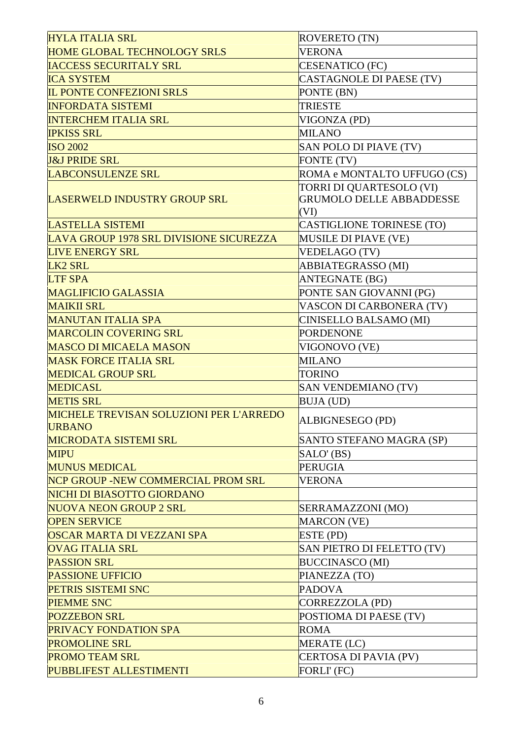| <b>HYLA ITALIA SRL</b>                         | <b>ROVERETO (TN)</b>             |
|------------------------------------------------|----------------------------------|
| <b>HOME GLOBAL TECHNOLOGY SRLS</b>             | <b>VERONA</b>                    |
| <b>IACCESS SECURITALY SRL</b>                  | <b>CESENATICO (FC)</b>           |
| <b>ICA SYSTEM</b>                              | <b>CASTAGNOLE DI PAESE (TV)</b>  |
| <b>IL PONTE CONFEZIONI SRLS</b>                | PONTE (BN)                       |
| <b>INFORDATA SISTEMI</b>                       | <b>TRIESTE</b>                   |
| <b>INTERCHEM ITALIA SRL</b>                    | VIGONZA (PD)                     |
| <b>IPKISS SRL</b>                              | <b>MILANO</b>                    |
| <b>ISO 2002</b>                                | SAN POLO DI PIAVE (TV)           |
| <b>J&amp;J PRIDE SRL</b>                       | FONTE (TV)                       |
| <b>LABCONSULENZE SRL</b>                       | ROMA e MONTALTO UFFUGO (CS)      |
|                                                | TORRI DI QUARTESOLO (VI)         |
| <b>LASERWELD INDUSTRY GROUP SRL</b>            | <b>GRUMOLO DELLE ABBADDESSE</b>  |
|                                                | (VI)                             |
| <b>LASTELLA SISTEMI</b>                        | <b>CASTIGLIONE TORINESE (TO)</b> |
| LAVA GROUP 1978 SRL DIVISIONE SICUREZZA        | <b>MUSILE DI PIAVE (VE)</b>      |
| <b>LIVE ENERGY SRL</b>                         | <b>VEDELAGO (TV)</b>             |
| LK <sub>2</sub> SRL                            | <b>ABBIATEGRASSO (MI)</b>        |
| <b>LTF SPA</b>                                 | <b>ANTEGNATE (BG)</b>            |
| <b>MAGLIFICIO GALASSIA</b>                     | PONTE SAN GIOVANNI (PG)          |
| <b>MAIKII SRL</b>                              | VASCON DI CARBONERA (TV)         |
| <b>MANUTAN ITALIA SPA</b>                      | CINISELLO BALSAMO (MI)           |
| <b>MARCOLIN COVERING SRL</b>                   | <b>PORDENONE</b>                 |
| <b>MASCO DI MICAELA MASON</b>                  | VIGONOVO (VE)                    |
| <b>MASK FORCE ITALIA SRL</b>                   | <b>MILANO</b>                    |
| <b>MEDICAL GROUP SRL</b>                       | <b>TORINO</b>                    |
| <b>MEDICASL</b>                                | SAN VENDEMIANO (TV)              |
| <b>METIS SRL</b>                               | <b>BUJA (UD)</b>                 |
| <b>MICHELE TREVISAN SOLUZIONI PER L'ARREDO</b> |                                  |
| <b>URBANO</b>                                  | ALBIGNESEGO (PD)                 |
| <b>MICRODATA SISTEMI SRL</b>                   | SANTO STEFANO MAGRA (SP)         |
| <b>MIPU</b>                                    | SALO' (BS)                       |
| <b>MUNUS MEDICAL</b>                           | <b>PERUGIA</b>                   |
| NCP GROUP -NEW COMMERCIAL PROM SRL             | <b>VERONA</b>                    |
| NICHI DI BIASOTTO GIORDANO                     |                                  |
| <b>NUOVA NEON GROUP 2 SRL</b>                  | SERRAMAZZONI (MO)                |
| <b>OPEN SERVICE</b>                            | <b>MARCON (VE)</b>               |
| OSCAR MARTA DI VEZZANI SPA                     | ESTE (PD)                        |
| <b>OVAG ITALIA SRL</b>                         | SAN PIETRO DI FELETTO (TV)       |
| <b>PASSION SRL</b>                             | <b>BUCCINASCO (MI)</b>           |
| <b>PASSIONE UFFICIO</b>                        | PIANEZZA (TO)                    |
| PETRIS SISTEMI SNC                             | <b>PADOVA</b>                    |
| <b>PIEMME SNC</b>                              | <b>CORREZZOLA (PD)</b>           |
| <b>POZZEBON SRL</b>                            | POSTIOMA DI PAESE (TV)           |
| <b>PRIVACY FONDATION SPA</b>                   | <b>ROMA</b>                      |
| <b>PROMOLINE SRL</b>                           | MERATE (LC)                      |
| <b>PROMO TEAM SRL</b>                          | CERTOSA DI PAVIA (PV)            |
|                                                |                                  |
| PUBBLIFEST ALLESTIMENTI                        | FORLI' (FC)                      |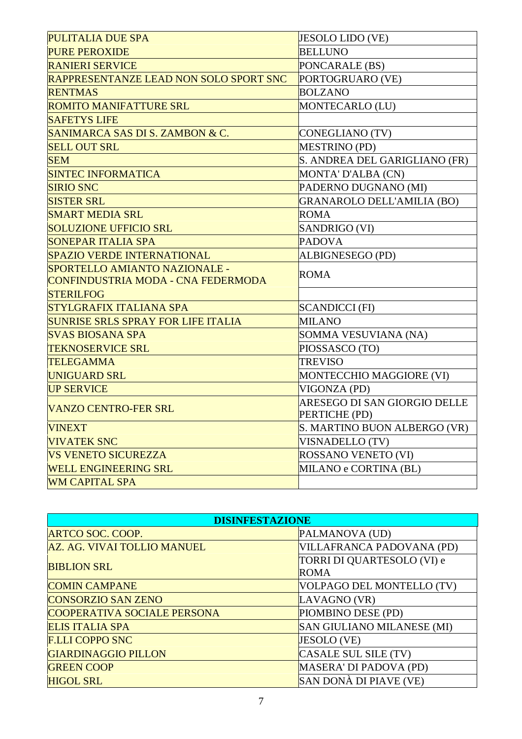| <b>PULITALIA DUE SPA</b>                      | JESOLO LIDO (VE)                  |
|-----------------------------------------------|-----------------------------------|
| <b>PURE PEROXIDE</b>                          | <b>BELLUNO</b>                    |
| <b>RANIERI SERVICE</b>                        | PONCARALE (BS)                    |
| <b>RAPPRESENTANZE LEAD NON SOLO SPORT SNC</b> | PORTOGRUARO (VE)                  |
| <b>RENTMAS</b>                                | <b>BOLZANO</b>                    |
| <b>ROMITO MANIFATTURE SRL</b>                 | MONTECARLO (LU)                   |
| <b>SAFETYS LIFE</b>                           |                                   |
| SANIMARCA SAS DI S. ZAMBON & C.               | <b>CONEGLIANO (TV)</b>            |
| <b>SELL OUT SRL</b>                           | <b>MESTRINO (PD)</b>              |
| <b>SEM</b>                                    | S. ANDREA DEL GARIGLIANO (FR)     |
| <b>SINTEC INFORMATICA</b>                     | MONTA' D'ALBA (CN)                |
| <b>SIRIO SNC</b>                              | PADERNO DUGNANO (MI)              |
| <b>SISTER SRL</b>                             | <b>GRANAROLO DELL'AMILIA (BO)</b> |
| <b>SMART MEDIA SRL</b>                        | <b>ROMA</b>                       |
| <b>SOLUZIONE UFFICIO SRL</b>                  | SANDRIGO (VI)                     |
| <b>SONEPAR ITALIA SPA</b>                     | <b>PADOVA</b>                     |
| <b>SPAZIO VERDE INTERNATIONAL</b>             | ALBIGNESEGO (PD)                  |
| SPORTELLO AMIANTO NAZIONALE -                 | <b>ROMA</b>                       |
| CONFINDUSTRIA MODA - CNA FEDERMODA            |                                   |
| <b>STERILFOG</b>                              |                                   |
| <b>STYLGRAFIX ITALIANA SPA</b>                | <b>SCANDICCI (FI)</b>             |
| <b>SUNRISE SRLS SPRAY FOR LIFE ITALIA</b>     | <b>MILANO</b>                     |
| <b>SVAS BIOSANA SPA</b>                       | SOMMA VESUVIANA (NA)              |
| <b>TEKNOSERVICE SRL</b>                       | PIOSSASCO (TO)                    |
| <b>TELEGAMMA</b>                              | <b>TREVISO</b>                    |
| <b>UNIGUARD SRL</b>                           | MONTECCHIO MAGGIORE (VI)          |
| <b>UP SERVICE</b>                             | VIGONZA (PD)                      |
| <b>VANZO CENTRO-FER SRL</b>                   | ARESEGO DI SAN GIORGIO DELLE      |
|                                               | PERTICHE (PD)                     |
| <b>VINEXT</b>                                 | S. MARTINO BUON ALBERGO (VR)      |
| <b>VIVATEK SNC</b>                            | VISNADELLO (TV)                   |
| <b>VS VENETO SICUREZZA</b>                    | ROSSANO VENETO (VI)               |
| <b>WELL ENGINEERING SRL</b>                   | MILANO e CORTINA (BL)             |
| <b>WM CAPITAL SPA</b>                         |                                   |

| <b>DISINFESTAZIONE</b>      |                                           |
|-----------------------------|-------------------------------------------|
| <b>ARTCO SOC. COOP.</b>     | PALMANOVA (UD)                            |
| AZ. AG. VIVAI TOLLIO MANUEL | VILLAFRANCA PADOVANA (PD)                 |
| <b>BIBLION SRL</b>          | TORRI DI QUARTESOLO (VI) e<br><b>ROMA</b> |
| <b>COMIN CAMPANE</b>        | VOLPAGO DEL MONTELLO (TV)                 |
| <b>CONSORZIO SAN ZENO</b>   | LAVAGNO (VR)                              |
| COOPERATIVA SOCIALE PERSONA | PIOMBINO DESE (PD)                        |
| <b>ELIS ITALIA SPA</b>      | <b>SAN GIULIANO MILANESE (MI)</b>         |
| <b>F.LLI COPPO SNC</b>      | JESOLO (VE)                               |
| <b>GIARDINAGGIO PILLON</b>  | CASALE SUL SILE (TV)                      |
| <b>GREEN COOP</b>           | MASERA' DI PADOVA (PD)                    |
| <b>HIGOL SRL</b>            | SAN DONÀ DI PIAVE (VE)                    |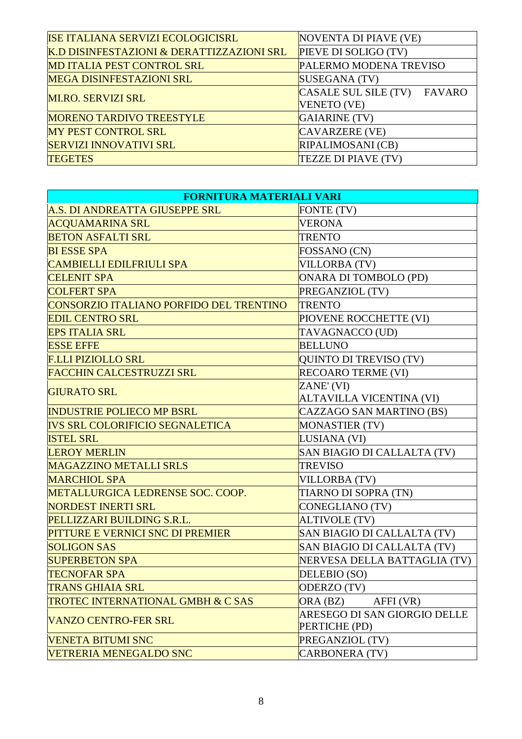| <b>ISE ITALIANA SERVIZI ECOLOGICISRL</b>  | NOVENTA DI PIAVE (VE)       |
|-------------------------------------------|-----------------------------|
| K.D DISINFESTAZIONI & DERATTIZZAZIONI SRL | PIEVE DI SOLIGO (TV)        |
| <b>MD ITALIA PEST CONTROL SRL</b>         | PALERMO MODENA TREVISO      |
| <b>MEGA DISINFESTAZIONI SRL</b>           | SUSEGANA (TV)               |
| <b>MI.RO. SERVIZI SRL</b>                 | CASALE SUL SILE (TV) FAVARO |
|                                           | <b>VENETO</b> (VE)          |
| <b>MORENO TARDIVO TREESTYLE</b>           | GAIARINE (TV)               |
| <b>MY PEST CONTROL SRL</b>                | CAVARZERE (VE)              |
| <b>SERVIZI INNOVATIVI SRL</b>             | <b>RIPALIMOSANI</b> (CB)    |
| <b>TEGETES</b>                            | TEZZE DI PIAVE (TV)         |

| <b>FORNITURA MATERIALI VARI</b>              |                                               |
|----------------------------------------------|-----------------------------------------------|
| A.S. DI ANDREATTA GIUSEPPE SRL               | <b>FONTE (TV)</b>                             |
| <b>ACQUAMARINA SRL</b>                       | <b>VERONA</b>                                 |
| <b>BETON ASFALTI SRL</b>                     | <b>TRENTO</b>                                 |
| <b>BI ESSE SPA</b>                           | FOSSANO (CN)                                  |
| <b>CAMBIELLI EDILFRIULI SPA</b>              | <b>VILLORBA (TV)</b>                          |
| <b>CELENIT SPA</b>                           | ONARA DI TOMBOLO (PD)                         |
| <b>COLFERT SPA</b>                           | PREGANZIOL (TV)                               |
| CONSORZIO ITALIANO PORFIDO DEL TRENTINO      | <b>TRENTO</b>                                 |
| <b>EDIL CENTRO SRL</b>                       | PIOVENE ROCCHETTE (VI)                        |
| <b>EPS ITALIA SRL</b>                        | TAVAGNACCO (UD)                               |
| <b>ESSE EFFE</b>                             | <b>BELLUNO</b>                                |
| <b>F.LLI PIZIOLLO SRL</b>                    | <b>QUINTO DI TREVISO (TV)</b>                 |
| <b>FACCHIN CALCESTRUZZI SRL</b>              | <b>RECOARO TERME (VI)</b>                     |
| <b>GIURATO SRL</b>                           | ZANE' (VI)                                    |
|                                              | <b>ALTAVILLA VICENTINA (VI)</b>               |
| <b>INDUSTRIE POLIECO MP BSRL</b>             | CAZZAGO SAN MARTINO (BS)                      |
| <b>IVS SRL COLORIFICIO SEGNALETICA</b>       | <b>MONASTIER (TV)</b>                         |
| <b>ISTEL SRL</b>                             | LUSIANA (VI)                                  |
| <b>LEROY MERLIN</b>                          | SAN BIAGIO DI CALLALTA (TV)                   |
| <b>MAGAZZINO METALLI SRLS</b>                | <b>TREVISO</b>                                |
| <b>MARCHIOL SPA</b>                          | <b>VILLORBA (TV)</b>                          |
| <b>METALLURGICA LEDRENSE SOC. COOP.</b>      | TIARNO DI SOPRA (TN)                          |
| <b>NORDEST INERTI SRL</b>                    | <b>CONEGLIANO (TV)</b>                        |
| PELLIZZARI BUILDING S.R.L.                   | <b>ALTIVOLE (TV)</b>                          |
| PITTURE E VERNICI SNC DI PREMIER             | SAN BIAGIO DI CALLALTA (TV)                   |
| <b>SOLIGON SAS</b>                           | SAN BIAGIO DI CALLALTA (TV)                   |
| <b>SUPERBETON SPA</b>                        | NERVESA DELLA BATTAGLIA (TV)                  |
| <b>TECNOFAR SPA</b>                          | DELEBIO (SO)                                  |
| <b>TRANS GHIAIA SRL</b>                      | ODERZO (TV)                                   |
| <b>TROTEC INTERNATIONAL GMBH &amp; C SAS</b> | ORA (BZ)<br>AFFI (VR)                         |
| <b>VANZO CENTRO-FER SRL</b>                  | ARESEGO DI SAN GIORGIO DELLE<br>PERTICHE (PD) |
| <b>VENETA BITUMI SNC</b>                     | PREGANZIOL (TV)                               |
| <b>VETRERIA MENEGALDO SNC</b>                | <b>CARBONERA (TV)</b>                         |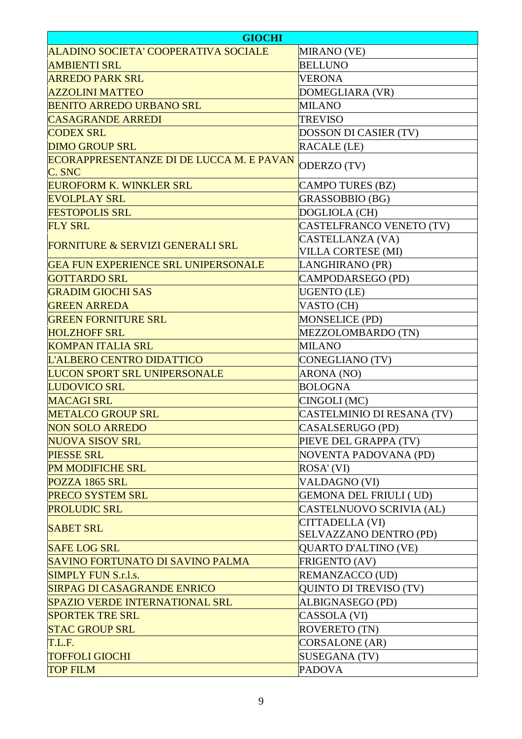| <b>GIOCHI</b>                                      |                               |
|----------------------------------------------------|-------------------------------|
| ALADINO SOCIETA' COOPERATIVA SOCIALE               | MIRANO (VE)                   |
| <b>AMBIENTI SRL</b>                                | <b>BELLUNO</b>                |
| <b>ARREDO PARK SRL</b>                             | <b>VERONA</b>                 |
| <b>AZZOLINI MATTEO</b>                             | DOMEGLIARA (VR)               |
| <b>BENITO ARREDO URBANO SRL</b>                    | <b>MILANO</b>                 |
| <b>CASAGRANDE ARREDI</b>                           | <b>TREVISO</b>                |
| <b>CODEX SRL</b>                                   | DOSSON DI CASIER (TV)         |
| <b>DIMO GROUP SRL</b>                              | <b>RACALE (LE)</b>            |
| ECORAPPRESENTANZE DI DE LUCCA M. E PAVAN<br>C. SNC | ODERZO (TV)                   |
| <b>EUROFORM K. WINKLER SRL</b>                     | <b>CAMPO TURES (BZ)</b>       |
| <b>EVOLPLAY SRL</b>                                | GRASSOBBIO (BG)               |
| <b>FESTOPOLIS SRL</b>                              | DOGLIOLA (CH)                 |
| <b>FLY SRL</b>                                     | CASTELFRANCO VENETO (TV)      |
|                                                    | CASTELLANZA (VA)              |
| <b>FORNITURE &amp; SERVIZI GENERALI SRL</b>        | VILLA CORTESE (MI)            |
| <b>GEA FUN EXPERIENCE SRL UNIPERSONALE</b>         | LANGHIRANO (PR)               |
| <b>GOTTARDO SRL</b>                                | CAMPODARSEGO (PD)             |
| <b>GRADIM GIOCHI SAS</b>                           | <b>UGENTO</b> (LE)            |
| <b>GREEN ARREDA</b>                                | VASTO (CH)                    |
| <b>GREEN FORNITURE SRL</b>                         | <b>MONSELICE (PD)</b>         |
| <b>HOLZHOFF SRL</b>                                | MEZZOLOMBARDO (TN)            |
| <b>KOMPAN ITALIA SRL</b>                           | <b>MILANO</b>                 |
| L'ALBERO CENTRO DIDATTICO                          | <b>CONEGLIANO (TV)</b>        |
| <b>LUCON SPORT SRL UNIPERSONALE</b>                | ARONA (NO)                    |
| <b>LUDOVICO SRL</b>                                | <b>BOLOGNA</b>                |
| <b>MACAGI SRL</b>                                  | CINGOLI (MC)                  |
| <b>METALCO GROUP SRL</b>                           | CASTELMINIO DI RESANA (TV)    |
| <b>NON SOLO ARREDO</b>                             | CASALSERUGO (PD)              |
| <b>NUOVA SISOV SRL</b>                             | PIEVE DEL GRAPPA (TV)         |
| <b>PIESSE SRL</b>                                  | <b>NOVENTA PADOVANA (PD)</b>  |
| <b>PM MODIFICHE SRL</b>                            | ROSA' (VI)                    |
| POZZA 1865 SRL                                     | <b>VALDAGNO (VI)</b>          |
| <b>PRECO SYSTEM SRL</b>                            | <b>GEMONA DEL FRIULI (UD)</b> |
| <b>PROLUDIC SRL</b>                                | CASTELNUOVO SCRIVIA (AL)      |
|                                                    | CITTADELLA (VI)               |
| <b>SABET SRL</b>                                   | SELVAZZANO DENTRO (PD)        |
| <b>SAFE LOG SRL</b>                                | <b>QUARTO D'ALTINO (VE)</b>   |
| SAVINO FORTUNATO DI SAVINO PALMA                   | FRIGENTO (AV)                 |
| <b>SIMPLY FUN S.r.l.s.</b>                         | REMANZACCO (UD)               |
| <b>SIRPAG DI CASAGRANDE ENRICO</b>                 | <b>QUINTO DI TREVISO (TV)</b> |
| <b>SPAZIO VERDE INTERNATIONAL SRL</b>              | ALBIGNASEGO (PD)              |
| <b>SPORTEK TRE SRL</b>                             | CASSOLA (VI)                  |
| <b>STAC GROUP SRL</b>                              | <b>ROVERETO (TN)</b>          |
| T.L.F.                                             | <b>CORSALONE</b> (AR)         |
| <b>TOFFOLI GIOCHI</b>                              | <b>SUSEGANA (TV)</b>          |
| <b>TOP FILM</b>                                    | <b>PADOVA</b>                 |
|                                                    |                               |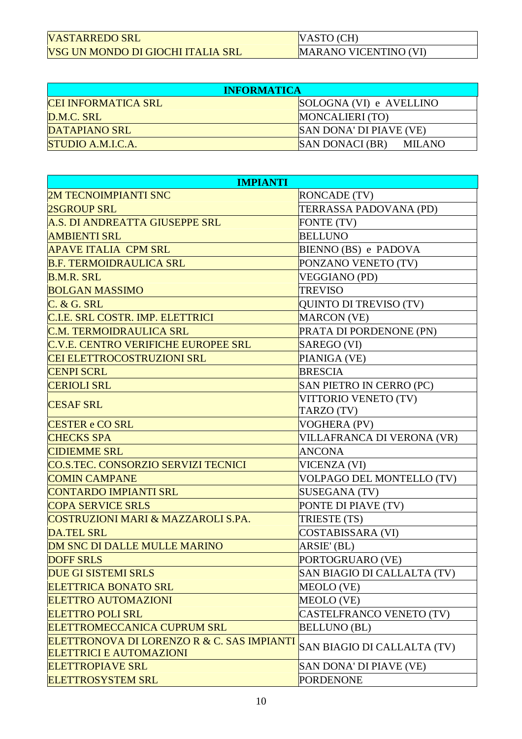| VASTARREDO SRL                    |
|-----------------------------------|
| VSG UN MONDO DI GIOCHI ITALIA SRL |

VASTO (CH) MARANO VICENTINO (VI)

| <b>INFORMATICA</b>       |                                         |
|--------------------------|-----------------------------------------|
| CEI INFORMATICA SRL      | SOLOGNA (VI) e AVELLINO                 |
| D.M.C. SRL               | MONCALIERI (TO)                         |
| DATAPIANO SRL            | SAN DONA' DI PIAVE (VE)                 |
| <b>STUDIO A.M.I.C.A.</b> | <b>SAN DONACI (BR)</b><br><b>MILANO</b> |

| <b>IMPIANTI</b>                                                              |                                 |  |
|------------------------------------------------------------------------------|---------------------------------|--|
| <b>2M TECNOIMPIANTI SNC</b>                                                  | <b>RONCADE</b> (TV)             |  |
| <b>2SGROUP SRL</b>                                                           | TERRASSA PADOVANA (PD)          |  |
| A.S. DI ANDREATTA GIUSEPPE SRL                                               | FONTE (TV)                      |  |
| <b>AMBIENTI SRL</b>                                                          | <b>BELLUNO</b>                  |  |
| <b>APAVE ITALIA CPM SRL</b>                                                  | BIENNO (BS) e PADOVA            |  |
| <b>B.F. TERMOIDRAULICA SRL</b>                                               | PONZANO VENETO (TV)             |  |
| <b>B.M.R. SRL</b>                                                            | <b>VEGGIANO (PD)</b>            |  |
| <b>BOLGAN MASSIMO</b>                                                        | <b>TREVISO</b>                  |  |
| C. & G. SRL                                                                  | QUINTO DI TREVISO (TV)          |  |
| C.I.E. SRL COSTR. IMP. ELETTRICI                                             | <b>MARCON</b> (VE)              |  |
| <b>C.M. TERMOIDRAULICA SRL</b>                                               | PRATA DI PORDENONE (PN)         |  |
| <b>C.V.E. CENTRO VERIFICHE EUROPEE SRL</b>                                   | SAREGO (VI)                     |  |
| <b>CEI ELETTROCOSTRUZIONI SRL</b>                                            | PIANIGA (VE)                    |  |
| <b>CENPI SCRL</b>                                                            | <b>BRESCIA</b>                  |  |
| <b>CERIOLI SRL</b>                                                           | <b>SAN PIETRO IN CERRO (PC)</b> |  |
| <b>CESAF SRL</b>                                                             | VITTORIO VENETO (TV)            |  |
|                                                                              | TARZO (TV)                      |  |
| <b>CESTER e CO SRL</b>                                                       | VOGHERA (PV)                    |  |
| <b>CHECKS SPA</b>                                                            | VILLAFRANCA DI VERONA (VR)      |  |
| <b>CIDIEMME SRL</b>                                                          | <b>ANCONA</b>                   |  |
| CO.S.TEC. CONSORZIO SERVIZI TECNICI                                          | VICENZA (VI)                    |  |
| <b>COMIN CAMPANE</b>                                                         | VOLPAGO DEL MONTELLO (TV)       |  |
| <b>CONTARDO IMPIANTI SRL</b>                                                 | SUSEGANA (TV)                   |  |
| <b>COPA SERVICE SRLS</b>                                                     | PONTE DI PIAVE (TV)             |  |
| <b>COSTRUZIONI MARI &amp; MAZZAROLI S.PA.</b>                                | TRIESTE (TS)                    |  |
| <b>DA.TEL SRL</b>                                                            | <b>COSTABISSARA (VI)</b>        |  |
| <b>DM SNC DI DALLE MULLE MARINO</b>                                          | ARSIE' (BL)                     |  |
| <b>DOFF SRLS</b>                                                             | PORTOGRUARO (VE)                |  |
| <b>DUE GI SISTEMI SRLS</b>                                                   | SAN BIAGIO DI CALLALTA (TV)     |  |
| <b>ELETTRICA BONATO SRL</b>                                                  | MEOLO (VE)                      |  |
| <b>ELETTRO AUTOMAZIONI</b>                                                   | <b>MEOLO (VE)</b>               |  |
| <b>ELETTRO POLI SRL</b>                                                      | CASTELFRANCO VENETO (TV)        |  |
| <b>ELETTROMECCANICA CUPRUM SRL</b>                                           | <b>BELLUNO (BL)</b>             |  |
| ELETTRONOVA DI LORENZO R & C. SAS IMPIANTI<br><b>ELETTRICI E AUTOMAZIONI</b> | SAN BIAGIO DI CALLALTA (TV)     |  |
| <b>ELETTROPIAVE SRL</b>                                                      | SAN DONA' DI PIAVE (VE)         |  |
| <b>ELETTROSYSTEM SRL</b>                                                     | <b>PORDENONE</b>                |  |
|                                                                              |                                 |  |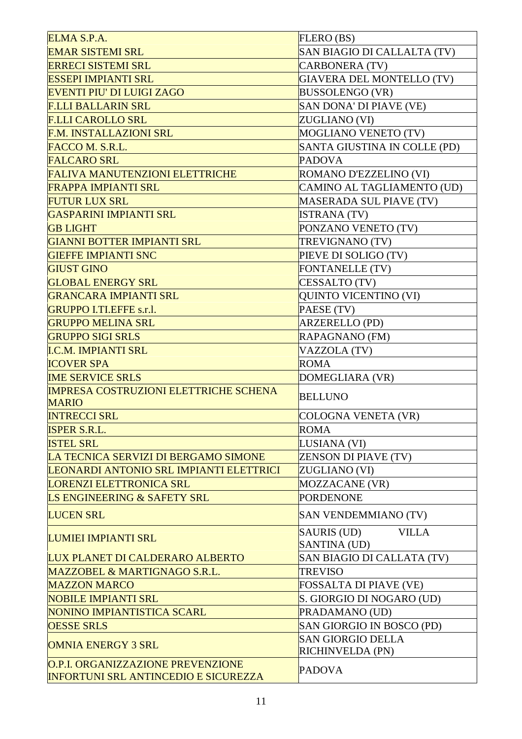| ELMA S.P.A.                                  | FLERO (BS)                                                |
|----------------------------------------------|-----------------------------------------------------------|
| <b>EMAR SISTEMI SRL</b>                      | SAN BIAGIO DI CALLALTA (TV)                               |
| <b>ERRECI SISTEMI SRL</b>                    | <b>CARBONERA (TV)</b>                                     |
| <b>ESSEPI IMPIANTI SRL</b>                   | <b>GIAVERA DEL MONTELLO (TV)</b>                          |
| <b>EVENTI PIU' DI LUIGI ZAGO</b>             | <b>BUSSOLENGO (VR)</b>                                    |
| <b>F.LLI BALLARIN SRL</b>                    | SAN DONA' DI PIAVE (VE)                                   |
| <b>F.LLI CAROLLO SRL</b>                     | ZUGLIANO (VI)                                             |
| <b>F.M. INSTALLAZIONI SRL</b>                | <b>MOGLIANO VENETO (TV)</b>                               |
| FACCO M. S.R.L.                              | SANTA GIUSTINA IN COLLE (PD)                              |
| <b>FALCARO SRL</b>                           | <b>PADOVA</b>                                             |
| <b>FALIVA MANUTENZIONI ELETTRICHE</b>        | ROMANO D'EZZELINO (VI)                                    |
| <b>FRAPPA IMPIANTI SRL</b>                   | CAMINO AL TAGLIAMENTO (UD)                                |
| <b>FUTUR LUX SRL</b>                         | <b>MASERADA SUL PIAVE (TV)</b>                            |
| <b>GASPARINI IMPIANTI SRL</b>                | <b>ISTRANA (TV)</b>                                       |
| <b>GB LIGHT</b>                              | PONZANO VENETO (TV)                                       |
| <b>GIANNI BOTTER IMPIANTI SRL</b>            | TREVIGNANO (TV)                                           |
| <b>GIEFFE IMPIANTI SNC</b>                   | PIEVE DI SOLIGO (TV)                                      |
| <b>GIUST GINO</b>                            | <b>FONTANELLE (TV)</b>                                    |
| <b>GLOBAL ENERGY SRL</b>                     | CESSALTO (TV)                                             |
| <b>GRANCARA IMPIANTI SRL</b>                 | <b>QUINTO VICENTINO (VI)</b>                              |
| <b>GRUPPO I.TI.EFFE s.r.l.</b>               | PAESE (TV)                                                |
| <b>GRUPPO MELINA SRL</b>                     | <b>ARZERELLO (PD)</b>                                     |
| <b>GRUPPO SIGI SRLS</b>                      | RAPAGNANO (FM)                                            |
| <b>I.C.M. IMPIANTI SRL</b>                   | VAZZOLA (TV)                                              |
| <b>ICOVER SPA</b>                            | <b>ROMA</b>                                               |
| <b>IME SERVICE SRLS</b>                      | DOMEGLIARA (VR)                                           |
| <b>IMPRESA COSTRUZIONI ELETTRICHE SCHENA</b> | <b>BELLUNO</b>                                            |
| <b>MARIO</b>                                 |                                                           |
| <b>INTRECCI SRL</b>                          | <b>COLOGNA VENETA (VR)</b>                                |
| <b>ISPER S.R.L.</b>                          | <b>ROMA</b>                                               |
| <b>ISTEL SRL</b>                             | LUSIANA (VI)                                              |
| LA TECNICA SERVIZI DI BERGAMO SIMONE         | ZENSON DI PIAVE (TV)                                      |
| LEONARDI ANTONIO SRL IMPIANTI ELETTRICI      | ZUGLIANO (VI)                                             |
| <b>LORENZI ELETTRONICA SRL</b>               | <b>MOZZACANE (VR)</b>                                     |
| LS ENGINEERING & SAFETY SRL                  | <b>PORDENONE</b>                                          |
| <b>LUCEN SRL</b>                             | <b>SAN VENDEMMIANO (TV)</b>                               |
| <b>LUMIEI IMPIANTI SRL</b>                   | <b>SAURIS (UD)</b><br><b>VILLA</b><br><b>SANTINA (UD)</b> |
| <b>LUX PLANET DI CALDERARO ALBERTO</b>       | SAN BIAGIO DI CALLATA (TV)                                |
| MAZZOBEL & MARTIGNAGO S.R.L.                 | <b>TREVISO</b>                                            |
| <b>MAZZON MARCO</b>                          | FOSSALTA DI PIAVE (VE)                                    |
| <b>NOBILE IMPIANTI SRL</b>                   | S. GIORGIO DI NOGARO (UD)                                 |
| NONINO IMPIANTISTICA SCARL                   | PRADAMANO (UD)                                            |
| <b>OESSE SRLS</b>                            | SAN GIORGIO IN BOSCO (PD)                                 |
| <b>OMNIA ENERGY 3 SRL</b>                    | <b>SAN GIORGIO DELLA</b>                                  |
|                                              |                                                           |
| <b>O.P.I. ORGANIZZAZIONE PREVENZIONE</b>     | RICHINVELDA (PN)<br><b>PADOVA</b>                         |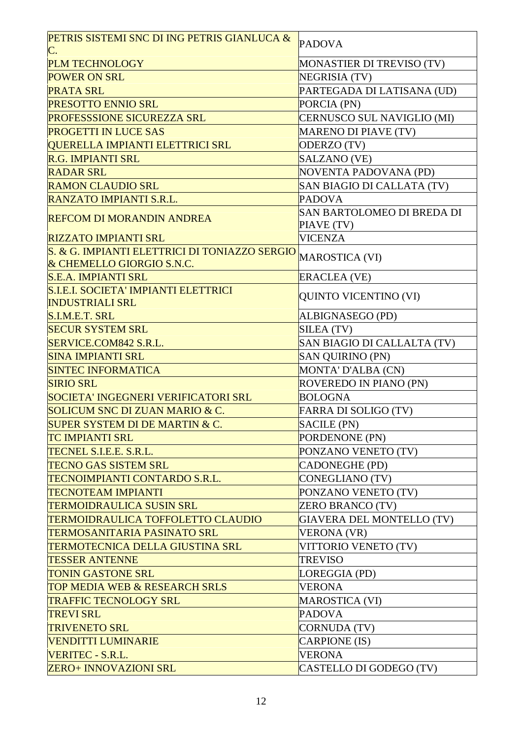| PETRIS SISTEMI SNC DI ING PETRIS GIANLUCA &<br>C.                          | <b>PADOVA</b>                            |
|----------------------------------------------------------------------------|------------------------------------------|
| <b>PLM TECHNOLOGY</b>                                                      | MONASTIER DI TREVISO (TV)                |
| <b>POWER ON SRL</b>                                                        | <b>NEGRISIA (TV)</b>                     |
| <b>PRATA SRL</b>                                                           | PARTEGADA DI LATISANA (UD)               |
| <b>PRESOTTO ENNIO SRL</b>                                                  | PORCIA (PN)                              |
| <b>PROFESSSIONE SICUREZZA SRL</b>                                          | CERNUSCO SUL NAVIGLIO (MI)               |
| <b>PROGETTI IN LUCE SAS</b>                                                | <b>MARENO DI PIAVE (TV)</b>              |
| <b>QUERELLA IMPIANTI ELETTRICI SRL</b>                                     | ODERZO (TV)                              |
| <b>R.G. IMPIANTI SRL</b>                                                   | SALZANO (VE)                             |
| <b>RADAR SRL</b>                                                           | NOVENTA PADOVANA (PD)                    |
| <b>RAMON CLAUDIO SRL</b>                                                   | SAN BIAGIO DI CALLATA (TV)               |
| <b>RANZATO IMPIANTI S.R.L.</b>                                             | <b>PADOVA</b>                            |
| <b>REFCOM DI MORANDIN ANDREA</b>                                           | SAN BARTOLOMEO DI BREDA DI<br>PIAVE (TV) |
| <b>RIZZATO IMPIANTI SRL</b>                                                | <b>VICENZA</b>                           |
| S. & G. IMPIANTI ELETTRICI DI TONIAZZO SERGIO<br>& CHEMELLO GIORGIO S.N.C. | MAROSTICA (VI)                           |
| <b>S.E.A. IMPIANTI SRL</b>                                                 | <b>ERACLEA (VE)</b>                      |
| S.I.E.I. SOCIETA' IMPIANTI ELETTRICI<br><b>INDUSTRIALI SRL</b>             | <b>QUINTO VICENTINO (VI)</b>             |
| S.I.M.E.T. SRL                                                             | ALBIGNASEGO (PD)                         |
| <b>SECUR SYSTEM SRL</b>                                                    | SILEA (TV)                               |
| SERVICE.COM842 S.R.L.                                                      | SAN BIAGIO DI CALLALTA (TV)              |
| <b>SINA IMPIANTI SRL</b>                                                   | <b>SAN QUIRINO (PN)</b>                  |
| <b>SINTEC INFORMATICA</b>                                                  | MONTA' D'ALBA (CN)                       |
| <b>SIRIO SRL</b>                                                           | ROVEREDO IN PIANO (PN)                   |
| SOCIETA' INGEGNERI VERIFICATORI SRL                                        | <b>BOLOGNA</b>                           |
| <b>SOLICUM SNC DI ZUAN MARIO &amp; C.</b>                                  | FARRA DI SOLIGO (TV)                     |
| <b>SUPER SYSTEM DI DE MARTIN &amp; C.</b>                                  | <b>SACILE (PN)</b>                       |
| <b>TC IMPIANTI SRL</b>                                                     | PORDENONE (PN)                           |
| <b>TECNEL S.I.E.E. S.R.L.</b>                                              | PONZANO VENETO (TV)                      |
| <b>TECNO GAS SISTEM SRL</b>                                                | <b>CADONEGHE (PD)</b>                    |
| TECNOIMPIANTI CONTARDO S.R.L.                                              | <b>CONEGLIANO (TV)</b>                   |
| <b>TECNOTEAM IMPIANTI</b>                                                  | PONZANO VENETO (TV)                      |
| <b>TERMOIDRAULICA SUSIN SRL</b>                                            | <b>ZERO BRANCO (TV)</b>                  |
| TERMOIDRAULICA TOFFOLETTO CLAUDIO                                          | <b>GIAVERA DEL MONTELLO (TV)</b>         |
| <b>TERMOSANITARIA PASINATO SRL</b>                                         | <b>VERONA (VR)</b>                       |
| TERMOTECNICA DELLA GIUSTINA SRL                                            | VITTORIO VENETO (TV)                     |
| <b>TESSER ANTENNE</b>                                                      | <b>TREVISO</b>                           |
| <b>TONIN GASTONE SRL</b>                                                   | LOREGGIA (PD)                            |
| <b>TOP MEDIA WEB &amp; RESEARCH SRLS</b>                                   | <b>VERONA</b>                            |
| <b>TRAFFIC TECNOLOGY SRL</b>                                               | <b>MAROSTICA (VI)</b>                    |
| <b>TREVI SRL</b>                                                           | <b>PADOVA</b>                            |
| <b>TRIVENETO SRL</b>                                                       | <b>CORNUDA (TV)</b>                      |
| VENDITTI LUMINARIE                                                         | CARPIONE (IS)                            |
| <b>VERITEC - S.R.L.</b>                                                    | <b>VERONA</b>                            |
| <b>ZERO+ INNOVAZIONI SRL</b>                                               | CASTELLO DI GODEGO (TV)                  |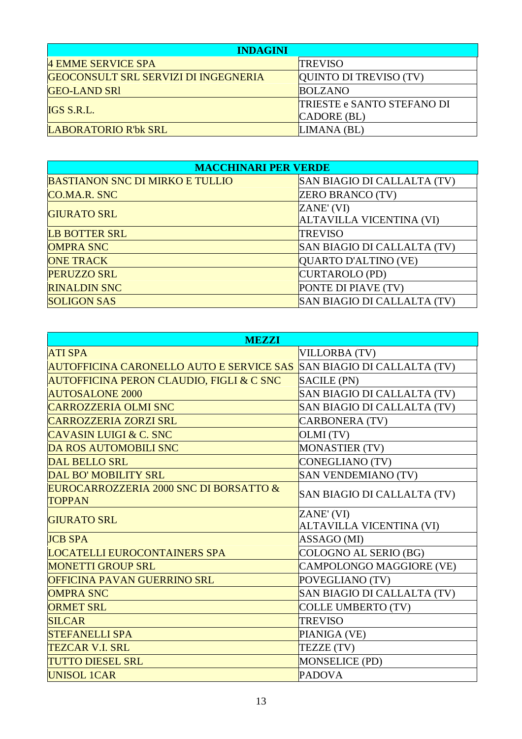| <b>INDAGINI</b>                             |                                   |
|---------------------------------------------|-----------------------------------|
| 4 EMME SERVICE SPA                          | <b>TREVISO</b>                    |
| <b>GEOCONSULT SRL SERVIZI DI INGEGNERIA</b> | QUINTO DI TREVISO (TV)            |
| <b>GEO-LAND SRI</b>                         | <b>BOLZANO</b>                    |
| IGS S.R.L.                                  | <b>TRIESTE e SANTO STEFANO DI</b> |
|                                             | $CADORE$ (BL)                     |
| LABORATORIO R'bk SRL                        | LIMANA (BL)                       |

| <b>MACCHINARI PER VERDE</b>            |                             |
|----------------------------------------|-----------------------------|
| <b>BASTIANON SNC DI MIRKO E TULLIO</b> | SAN BIAGIO DI CALLALTA (TV) |
| <b>CO.MA.R. SNC</b>                    | <b>ZERO BRANCO (TV)</b>     |
| <b>GIURATO SRL</b>                     | ZANE' (VI)                  |
|                                        | ALTAVILLA VICENTINA (VI)    |
| <b>LB BOTTER SRL</b>                   | <b>TREVISO</b>              |
| <b>OMPRA SNC</b>                       | SAN BIAGIO DI CALLALTA (TV) |
| <b>ONE TRACK</b>                       | QUARTO D'ALTINO (VE)        |
| PERUZZO SRL                            | CURTAROLO (PD)              |
| <b>RINALDIN SNC</b>                    | PONTE DI PIAVE (TV)         |
| <b>SOLIGON SAS</b>                     | SAN BIAGIO DI CALLALTA (TV) |

| <b>MEZZI</b>                                                         |                                 |
|----------------------------------------------------------------------|---------------------------------|
| <b>ATI SPA</b>                                                       | <b>VILLORBA (TV)</b>            |
| AUTOFFICINA CARONELLO AUTO E SERVICE SAS SAN BIAGIO DI CALLALTA (TV) |                                 |
| AUTOFFICINA PERON CLAUDIO, FIGLI & C SNC                             | <b>SACILE (PN)</b>              |
| <b>AUTOSALONE 2000</b>                                               | SAN BIAGIO DI CALLALTA (TV)     |
| <b>CARROZZERIA OLMI SNC</b>                                          | SAN BIAGIO DI CALLALTA (TV)     |
| <b>CARROZZERIA ZORZI SRL</b>                                         | <b>CARBONERA (TV)</b>           |
| <b>CAVASIN LUIGI &amp; C. SNC</b>                                    | OLMI (TV)                       |
| <b>DA ROS AUTOMOBILI SNC</b>                                         | MONASTIER (TV)                  |
| DAL BELLO SRL                                                        | <b>CONEGLIANO (TV)</b>          |
| DAL BO' MOBILITY SRL                                                 | <b>SAN VENDEMIANO (TV)</b>      |
| EUROCARROZZERIA 2000 SNC DI BORSATTO &                               | SAN BIAGIO DI CALLALTA (TV)     |
| <b>TOPPAN</b>                                                        |                                 |
| <b>GIURATO SRL</b>                                                   | ZANE' (VI)                      |
|                                                                      | <b>ALTAVILLA VICENTINA (VI)</b> |
| <b>JCB SPA</b>                                                       | ASSAGO (MI)                     |
| <b>LOCATELLI EUROCONTAINERS SPA</b>                                  | COLOGNO AL SERIO (BG)           |
| <b>MONETTI GROUP SRL</b>                                             | CAMPOLONGO MAGGIORE (VE)        |
| OFFICINA PAVAN GUERRINO SRL                                          | POVEGLIANO (TV)                 |
| <b>OMPRA SNC</b>                                                     | SAN BIAGIO DI CALLALTA (TV)     |
| <b>ORMET SRL</b>                                                     | <b>COLLE UMBERTO (TV)</b>       |
| <b>SILCAR</b>                                                        | <b>TREVISO</b>                  |
| <b>STEFANELLI SPA</b>                                                | PIANIGA (VE)                    |
| <b>TEZCAR V.I. SRL</b>                                               | TEZZE (TV)                      |
| <b>TUTTO DIESEL SRL</b>                                              | <b>MONSELICE (PD)</b>           |
| <b>UNISOL 1CAR</b>                                                   | <b>PADOVA</b>                   |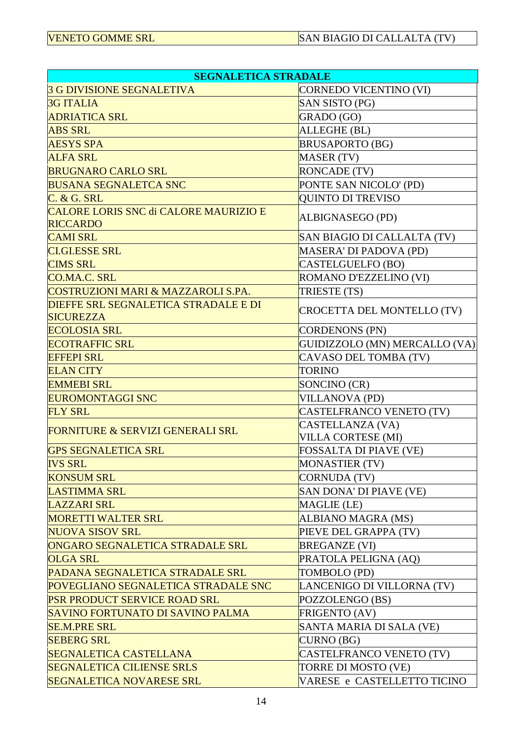| <b>SEGNALETICA STRADALE</b>                                     |                                               |  |
|-----------------------------------------------------------------|-----------------------------------------------|--|
| <b>3 G DIVISIONE SEGNALETIVA</b>                                | CORNEDO VICENTINO (VI)                        |  |
| <b>3G ITALIA</b>                                                | SAN SISTO (PG)                                |  |
| <b>ADRIATICA SRL</b>                                            | GRADO (GO)                                    |  |
| <b>ABS SRL</b>                                                  | ALLEGHE (BL)                                  |  |
| <b>AESYS SPA</b>                                                | <b>BRUSAPORTO (BG)</b>                        |  |
| <b>ALFA SRL</b>                                                 | <b>MASER (TV)</b>                             |  |
| <b>BRUGNARO CARLO SRL</b>                                       | <b>RONCADE (TV)</b>                           |  |
| <b>BUSANA SEGNALETCA SNC</b>                                    | PONTE SAN NICOLO' (PD)                        |  |
| C. & G. SRL                                                     | <b>QUINTO DI TREVISO</b>                      |  |
| CALORE LORIS SNC di CALORE MAURIZIO E<br><b>RICCARDO</b>        | ALBIGNASEGO (PD)                              |  |
| <b>CAMI SRL</b>                                                 | SAN BIAGIO DI CALLALTA (TV)                   |  |
| <b>CLGLESSE SRL</b>                                             | MASERA' DI PADOVA (PD)                        |  |
| <b>CIMS SRL</b>                                                 | <b>CASTELGUELFO (BO)</b>                      |  |
| CO.MA.C. SRL                                                    | ROMANO D'EZZELINO (VI)                        |  |
| <b>COSTRUZIONI MARI &amp; MAZZAROLI S.PA.</b>                   | TRIESTE (TS)                                  |  |
| <b>DIEFFE SRL SEGNALETICA STRADALE E DI</b><br><b>SICUREZZA</b> | CROCETTA DEL MONTELLO (TV)                    |  |
| <b>ECOLOSIA SRL</b>                                             | <b>CORDENONS (PN)</b>                         |  |
| <b>ECOTRAFFIC SRL</b>                                           | GUIDIZZOLO (MN) MERCALLO (VA)                 |  |
| <b>EFFEPI SRL</b>                                               | CAVASO DEL TOMBA (TV)                         |  |
| <b>ELAN CITY</b>                                                | <b>TORINO</b>                                 |  |
| <b>EMMEBI SRL</b>                                               | SONCINO (CR)                                  |  |
| <b>EUROMONTAGGI SNC</b>                                         | <b>VILLANOVA (PD)</b>                         |  |
| <b>FLY SRL</b>                                                  | CASTELFRANCO VENETO (TV)                      |  |
| <b>FORNITURE &amp; SERVIZI GENERALI SRL</b>                     | CASTELLANZA (VA)<br><b>VILLA CORTESE (MI)</b> |  |
| <b>GPS SEGNALETICA SRL</b>                                      | FOSSALTA DI PIAVE (VE)                        |  |
| <b>IVS SRL</b>                                                  | <b>MONASTIER (TV)</b>                         |  |
| <b>KONSUM SRL</b>                                               | <b>CORNUDA (TV)</b>                           |  |
| <b>LASTIMMA SRL</b>                                             | SAN DONA' DI PIAVE (VE)                       |  |
| <b>LAZZARI SRL</b>                                              | MAGLIE (LE)                                   |  |
| <b>MORETTI WALTER SRL</b>                                       | ALBIANO MAGRA (MS)                            |  |
| <b>NUOVA SISOV SRL</b>                                          | PIEVE DEL GRAPPA (TV)                         |  |
| ONGARO SEGNALETICA STRADALE SRL                                 | <b>BREGANZE (VI)</b>                          |  |
| <b>OLGA SRL</b>                                                 | PRATOLA PELIGNA (AQ)                          |  |
| PADANA SEGNALETICA STRADALE SRL                                 | TOMBOLO (PD)                                  |  |
| POVEGLIANO SEGNALETICA STRADALE SNC                             | LANCENIGO DI VILLORNA (TV)                    |  |
| PSR PRODUCT SERVICE ROAD SRL                                    | POZZOLENGO (BS)                               |  |
| SAVINO FORTUNATO DI SAVINO PALMA                                | <b>FRIGENTO (AV)</b>                          |  |
| <b>SE.M.PRE SRL</b>                                             | SANTA MARIA DI SALA (VE)                      |  |
| <b>SEBERG SRL</b>                                               | CURNO (BG)                                    |  |
| <b>SEGNALETICA CASTELLANA</b>                                   | CASTELFRANCO VENETO (TV)                      |  |
| <b>SEGNALETICA CILIENSE SRLS</b>                                | TORRE DI MOSTO (VE)                           |  |
| <b>SEGNALETICA NOVARESE SRL</b>                                 | VARESE e CASTELLETTO TICINO                   |  |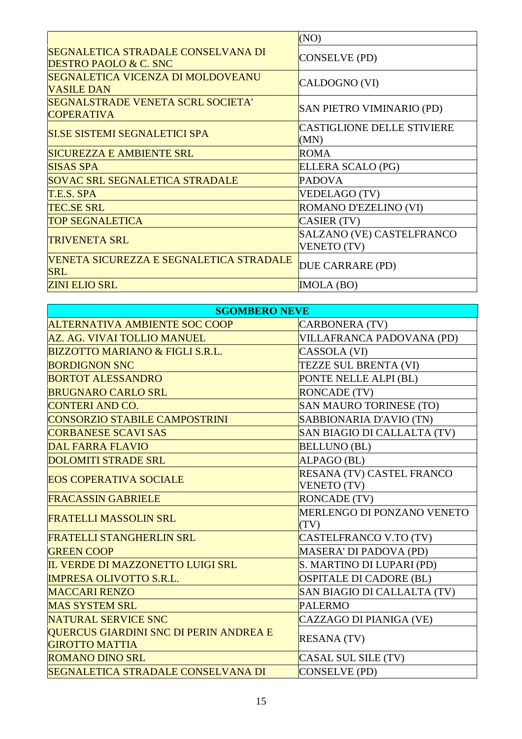|                                                                        | (NO)                                            |
|------------------------------------------------------------------------|-------------------------------------------------|
| SEGNALETICA STRADALE CONSELVANA DI<br><b>DESTRO PAOLO &amp; C. SNC</b> | CONSELVE (PD)                                   |
| SEGNALETICA VICENZA DI MOLDOVEANU<br><b>VASILE DAN</b>                 | CALDOGNO (VI)                                   |
| <b>SEGNALSTRADE VENETA SCRL SOCIETA'</b><br><b>COPERATIVA</b>          | SAN PIETRO VIMINARIO (PD)                       |
| <b>SI.SE SISTEMI SEGNALETICI SPA</b>                                   | <b>CASTIGLIONE DELLE STIVIERE</b><br>(MN)       |
| <b>SICUREZZA E AMBIENTE SRL</b>                                        | <b>ROMA</b>                                     |
| <b>SISAS SPA</b>                                                       | ELLERA SCALO (PG)                               |
| <b>SOVAC SRL SEGNALETICA STRADALE</b>                                  | <b>PADOVA</b>                                   |
| T.E.S. SPA                                                             | <b>VEDELAGO (TV)</b>                            |
| <b>TEC.SE SRL</b>                                                      | ROMANO D'EZELINO (VI)                           |
| <b>TOP SEGNALETICA</b>                                                 | CASIER (TV)                                     |
| <b>TRIVENETA SRL</b>                                                   | SALZANO (VE) CASTELFRANCO<br><b>VENETO (TV)</b> |
| VENETA SICUREZZA E SEGNALETICA STRADALE<br><b>SRL</b>                  | DUE CARRARE (PD)                                |
| <b>ZINI ELIO SRL</b>                                                   | IMOLA (BO)                                      |

| <b>SGOMBERO NEVE</b>                       |                                |
|--------------------------------------------|--------------------------------|
| <b>ALTERNATIVA AMBIENTE SOC COOP</b>       | <b>CARBONERA (TV)</b>          |
| AZ. AG. VIVAI TOLLIO MANUEL                | VILLAFRANCA PADOVANA (PD)      |
| <b>BIZZOTTO MARIANO &amp; FIGLI S.R.L.</b> | CASSOLA (VI)                   |
| <b>BORDIGNON SNC</b>                       | TEZZE SUL BRENTA (VI)          |
| <b>BORTOT ALESSANDRO</b>                   | PONTE NELLE ALPI (BL)          |
| <b>BRUGNARO CARLO SRL</b>                  | <b>RONCADE (TV)</b>            |
| <b>CONTERI AND CO.</b>                     | SAN MAURO TORINESE (TO)        |
| <b>CONSORZIO STABILE CAMPOSTRINI</b>       | SABBIONARIA D'AVIO (TN)        |
| <b>CORBANESE SCAVI SAS</b>                 | SAN BIAGIO DI CALLALTA (TV)    |
| <b>DAL FARRA FLAVIO</b>                    | <b>BELLUNO (BL)</b>            |
| <b>DOLOMITI STRADE SRL</b>                 | ALPAGO (BL)                    |
| <b>EOS COPERATIVA SOCIALE</b>              | RESANA (TV) CASTEL FRANCO      |
|                                            | <b>VENETO (TV)</b>             |
| <b>FRACASSIN GABRIELE</b>                  | <b>RONCADE (TV)</b>            |
| <b>FRATELLI MASSOLIN SRL</b>               | MERLENGO DI PONZANO VENETO     |
|                                            | (TV)                           |
| <b>FRATELLI STANGHERLIN SRL</b>            | CASTELFRANCO V.TO (TV)         |
| <b>GREEN COOP</b>                          | MASERA' DI PADOVA (PD)         |
| IL VERDE DI MAZZONETTO LUIGI SRL           | S. MARTINO DI LUPARI (PD)      |
| <b>IMPRESA OLIVOTTO S.R.L.</b>             | <b>OSPITALE DI CADORE (BL)</b> |
| <b>MACCARI RENZO</b>                       | SAN BIAGIO DI CALLALTA (TV)    |
| <b>MAS SYSTEM SRL</b>                      | <b>PALERMO</b>                 |
| <b>NATURAL SERVICE SNC</b>                 | CAZZAGO DI PIANIGA (VE)        |
| QUERCUS GIARDINI SNC DI PERIN ANDREA E     | <b>RESANA (TV)</b>             |
| <b>GIROTTO MATTIA</b>                      |                                |
| <b>ROMANO DINO SRL</b>                     | CASAL SUL SILE (TV)            |
| SEGNALETICA STRADALE CONSELVANA DI         | CONSELVE (PD)                  |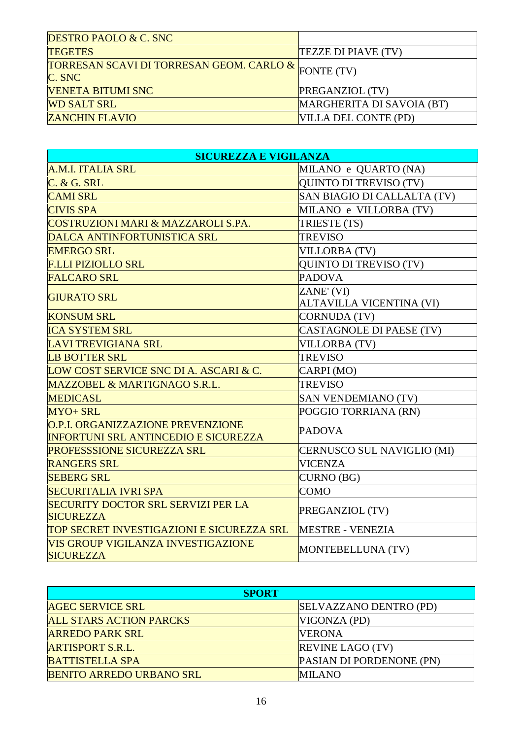| <b>DESTRO PAOLO &amp; C. SNC</b>                      |                           |
|-------------------------------------------------------|---------------------------|
| <b>TEGETES</b>                                        | TEZZE DI PIAVE (TV)       |
| <b>TORRESAN SCAVI DI TORRESAN GEOM. CARLO &amp;  </b> | FONTE (TV)                |
| C. SNC                                                |                           |
| <b>VENETA BITUMI SNC</b>                              | PREGANZIOL (TV)           |
| <b>WD SALT SRL</b>                                    | MARGHERITA DI SAVOIA (BT) |
| <b>ZANCHIN FLAVIO</b>                                 | VILLA DEL CONTE (PD)      |

| <b>SICUREZZA E VIGILANZA</b>                                                            |                                 |
|-----------------------------------------------------------------------------------------|---------------------------------|
| A.M.I. ITALIA SRL                                                                       | MILANO e QUARTO (NA)            |
| C. & G. SRL                                                                             | QUINTO DI TREVISO (TV)          |
| <b>CAMI SRL</b>                                                                         | SAN BIAGIO DI CALLALTA (TV)     |
| <b>CIVIS SPA</b>                                                                        | MILANO e VILLORBA (TV)          |
| <b>COSTRUZIONI MARI &amp; MAZZAROLI S.PA.</b>                                           | TRIESTE (TS)                    |
| DALCA ANTINFORTUNISTICA SRL                                                             | <b>TREVISO</b>                  |
| <b>EMERGO SRL</b>                                                                       | <b>VILLORBA (TV)</b>            |
| <b>F.LLI PIZIOLLO SRL</b>                                                               | <b>QUINTO DI TREVISO (TV)</b>   |
| <b>FALCARO SRL</b>                                                                      | <b>PADOVA</b>                   |
| <b>GIURATO SRL</b>                                                                      | ZANE' (VI)                      |
|                                                                                         | <b>ALTAVILLA VICENTINA (VI)</b> |
| <b>KONSUM SRL</b>                                                                       | <b>CORNUDA (TV)</b>             |
| <b>ICA SYSTEM SRL</b>                                                                   | <b>CASTAGNOLE DI PAESE (TV)</b> |
| <b>LAVI TREVIGIANA SRL</b>                                                              | <b>VILLORBA (TV)</b>            |
| <b>LB BOTTER SRL</b>                                                                    | <b>TREVISO</b>                  |
| LOW COST SERVICE SNC DI A. ASCARI & C.                                                  | CARPI (MO)                      |
| MAZZOBEL & MARTIGNAGO S.R.L.                                                            | <b>TREVISO</b>                  |
| <b>MEDICASL</b>                                                                         | <b>SAN VENDEMIANO (TV)</b>      |
| MYO+ SRL                                                                                | POGGIO TORRIANA (RN)            |
| <b>O.P.I. ORGANIZZAZIONE PREVENZIONE</b><br><b>INFORTUNI SRL ANTINCEDIO E SICUREZZA</b> | <b>PADOVA</b>                   |
| PROFESSSIONE SICUREZZA SRL                                                              | CERNUSCO SUL NAVIGLIO (MI)      |
| <b>RANGERS SRL</b>                                                                      | <b>VICENZA</b>                  |
| <b>SEBERG SRL</b>                                                                       | CURNO (BG)                      |
| <b>SECURITALIA IVRI SPA</b>                                                             | <b>COMO</b>                     |
| <b>SECURITY DOCTOR SRL SERVIZI PER LA</b><br><b>SICUREZZA</b>                           | PREGANZIOL (TV)                 |
| TOP SECRET INVESTIGAZIONI E SICUREZZA SRL                                               | <b>MESTRE - VENEZIA</b>         |
| VIS GROUP VIGILANZA INVESTIGAZIONE<br><b>SICUREZZA</b>                                  | MONTEBELLUNA (TV)               |

| <b>SPORT</b>                    |                                 |
|---------------------------------|---------------------------------|
| <b>AGEC SERVICE SRL</b>         | SELVAZZANO DENTRO (PD)          |
| <b>ALL STARS ACTION PARCKS</b>  | VIGONZA (PD)                    |
| <b>ARREDO PARK SRL</b>          | <b>VERONA</b>                   |
| <b>ARTISPORT S.R.L.</b>         | <b>REVINE LAGO (TV)</b>         |
| <b>BATTISTELLA SPA</b>          | <b>PASIAN DI PORDENONE (PN)</b> |
| <b>BENITO ARREDO URBANO SRL</b> | <b>MILANO</b>                   |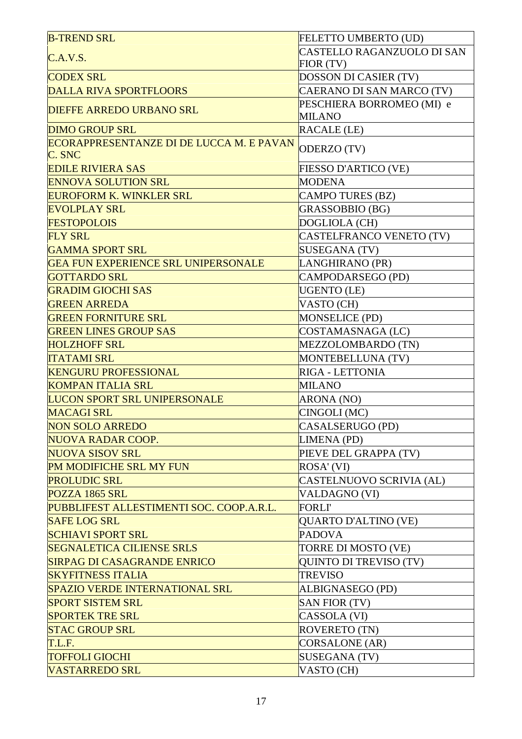| <b>B-TREND SRL</b>                                        | FELETTO UMBERTO (UD)          |
|-----------------------------------------------------------|-------------------------------|
| C.A.V.S.                                                  | CASTELLO RAGANZUOLO DI SAN    |
|                                                           | FIOR (TV)                     |
| <b>CODEX SRL</b>                                          | <b>DOSSON DI CASIER (TV)</b>  |
| <b>DALLA RIVA SPORTFLOORS</b>                             | CAERANO DI SAN MARCO (TV)     |
| <b>DIEFFE ARREDO URBANO SRL</b>                           | PESCHIERA BORROMEO (MI) e     |
|                                                           | <b>MILANO</b>                 |
| <b>DIMO GROUP SRL</b>                                     | <b>RACALE (LE)</b>            |
| <b>ECORAPPRESENTANZE DI DE LUCCA M. E PAVAN</b><br>C. SNC | ODERZO (TV)                   |
| <b>EDILE RIVIERA SAS</b>                                  | FIESSO D'ARTICO (VE)          |
| <b>ENNOVA SOLUTION SRL</b>                                | <b>MODENA</b>                 |
| <b>EUROFORM K. WINKLER SRL</b>                            | <b>CAMPO TURES (BZ)</b>       |
| <b>EVOLPLAY SRL</b>                                       | <b>GRASSOBBIO (BG)</b>        |
| <b>FESTOPOLOIS</b>                                        | DOGLIOLA (CH)                 |
| <b>FLY SRL</b>                                            | CASTELFRANCO VENETO (TV)      |
| <b>GAMMA SPORT SRL</b>                                    | <b>SUSEGANA (TV)</b>          |
| <b>GEA FUN EXPERIENCE SRL UNIPERSONALE</b>                | LANGHIRANO (PR)               |
| <b>GOTTARDO SRL</b>                                       | CAMPODARSEGO (PD)             |
| <b>GRADIM GIOCHI SAS</b>                                  | <b>UGENTO</b> (LE)            |
| <b>GREEN ARREDA</b>                                       | VASTO (CH)                    |
| <b>GREEN FORNITURE SRL</b>                                | <b>MONSELICE (PD)</b>         |
| <b>GREEN LINES GROUP SAS</b>                              | COSTAMASNAGA (LC)             |
| <b>HOLZHOFF SRL</b>                                       | MEZZOLOMBARDO (TN)            |
| <b>ITATAMI SRL</b>                                        | MONTEBELLUNA (TV)             |
| <b>KENGURU PROFESSIONAL</b>                               | RIGA - LETTONIA               |
| <b>KOMPAN ITALIA SRL</b>                                  | <b>MILANO</b>                 |
| <b>LUCON SPORT SRL UNIPERSONALE</b>                       | ARONA (NO)                    |
| <b>MACAGI SRL</b>                                         | CINGOLI (MC)                  |
| NON SOLO ARREDO                                           | CASALSERUGO (PD)              |
| <b>NUOVA RADAR COOP.</b>                                  | LIMENA (PD)                   |
| <b>NUOVA SISOV SRL</b>                                    | PIEVE DEL GRAPPA (TV)         |
| <b>PM MODIFICHE SRL MY FUN</b>                            | ROSA' (VI)                    |
| <b>PROLUDIC SRL</b>                                       | CASTELNUOVO SCRIVIA (AL)      |
| POZZA 1865 SRL                                            | VALDAGNO (VI)                 |
| PUBBLIFEST ALLESTIMENTI SOC. COOP.A.R.L.                  | <b>FORLI'</b>                 |
| <b>SAFE LOG SRL</b>                                       | <b>QUARTO D'ALTINO (VE)</b>   |
| <b>SCHIAVI SPORT SRL</b>                                  | <b>PADOVA</b>                 |
| <b>SEGNALETICA CILIENSE SRLS</b>                          | TORRE DI MOSTO (VE)           |
| <b>SIRPAG DI CASAGRANDE ENRICO</b>                        | <b>QUINTO DI TREVISO (TV)</b> |
| <b>SKYFITNESS ITALIA</b>                                  | <b>TREVISO</b>                |
| <b>SPAZIO VERDE INTERNATIONAL SRL</b>                     | ALBIGNASEGO (PD)              |
| <b>SPORT SISTEM SRL</b>                                   | <b>SAN FIOR (TV)</b>          |
| <b>SPORTEK TRE SRL</b>                                    | CASSOLA (VI)                  |
| <b>STAC GROUP SRL</b>                                     | <b>ROVERETO (TN)</b>          |
| T.L.F.                                                    | <b>CORSALONE</b> (AR)         |
| <b>TOFFOLI GIOCHI</b>                                     | <b>SUSEGANA (TV)</b>          |
| <b>VASTARREDO SRL</b>                                     | VASTO (CH)                    |
|                                                           |                               |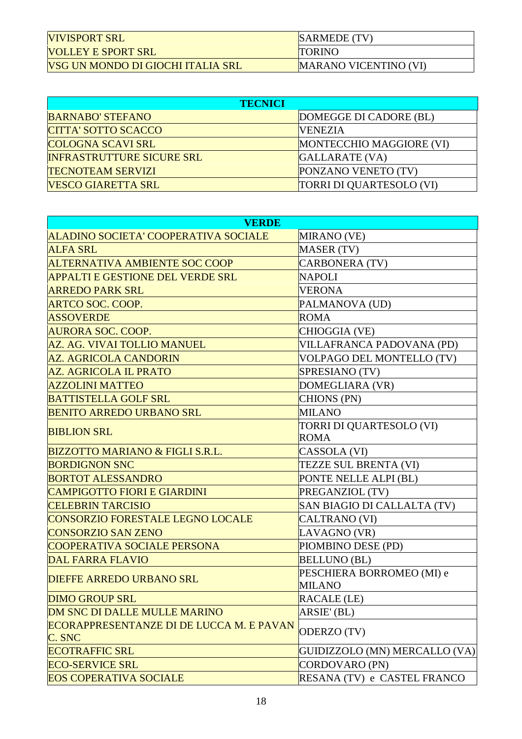| <b>VIVISPORT SRL</b>              | <b>SARMEDE</b> (TV)   |
|-----------------------------------|-----------------------|
| <b>VOLLEY E SPORT SRL</b>         | <b>TORINO</b>         |
| VSG UN MONDO DI GIOCHI ITALIA SRL | MARANO VICENTINO (VI) |

| <b>TECNICI</b>                   |                          |
|----------------------------------|--------------------------|
| <b>BARNABO' STEFANO</b>          | DOMEGGE DI CADORE (BL)   |
| <b>CITTA' SOTTO SCACCO</b>       | IVENEZIA                 |
| <b>COLOGNA SCAVI SRL</b>         | MONTECCHIO MAGGIORE (VI) |
| <b>INFRASTRUTTURE SICURE SRL</b> | GALLARATE (VA)           |
| <b>TECNOTEAM SERVIZI</b>         | PONZANO VENETO (TV)      |
| <b>VESCO GIARETTA SRL</b>        | TORRI DI QUARTESOLO (VI) |

| <b>VERDE</b>                               |                               |
|--------------------------------------------|-------------------------------|
| ALADINO SOCIETA' COOPERATIVA SOCIALE       | MIRANO (VE)                   |
| <b>ALFA SRL</b>                            | MASER (TV)                    |
| <b>ALTERNATIVA AMBIENTE SOC COOP</b>       | <b>CARBONERA (TV)</b>         |
| <b>APPALTI E GESTIONE DEL VERDE SRL</b>    | <b>NAPOLI</b>                 |
| <b>ARREDO PARK SRL</b>                     | <b>VERONA</b>                 |
| <b>ARTCO SOC. COOP.</b>                    | PALMANOVA (UD)                |
| <b>ASSOVERDE</b>                           | <b>ROMA</b>                   |
| <b>AURORA SOC. COOP.</b>                   | CHIOGGIA (VE)                 |
| AZ. AG. VIVAI TOLLIO MANUEL                | VILLAFRANCA PADOVANA (PD)     |
| <b>AZ. AGRICOLA CANDORIN</b>               | VOLPAGO DEL MONTELLO (TV)     |
| <b>AZ. AGRICOLA IL PRATO</b>               | SPRESIANO (TV)                |
| <b>AZZOLINI MATTEO</b>                     | DOMEGLIARA (VR)               |
| <b>BATTISTELLA GOLF SRL</b>                | <b>CHIONS (PN)</b>            |
| <b>BENITO ARREDO URBANO SRL</b>            | <b>MILANO</b>                 |
| <b>BIBLION SRL</b>                         | TORRI DI QUARTESOLO (VI)      |
|                                            | <b>ROMA</b>                   |
| <b>BIZZOTTO MARIANO &amp; FIGLI S.R.L.</b> | CASSOLA (VI)                  |
| <b>BORDIGNON SNC</b>                       | TEZZE SUL BRENTA (VI)         |
| <b>BORTOT ALESSANDRO</b>                   | PONTE NELLE ALPI (BL)         |
| <b>CAMPIGOTTO FIORI E GIARDINI</b>         | PREGANZIOL (TV)               |
| <b>CELEBRIN TARCISIO</b>                   | SAN BIAGIO DI CALLALTA (TV)   |
| <b>CONSORZIO FORESTALE LEGNO LOCALE</b>    | CALTRANO (VI)                 |
| <b>CONSORZIO SAN ZENO</b>                  | LAVAGNO (VR)                  |
| <b>COOPERATIVA SOCIALE PERSONA</b>         | PIOMBINO DESE (PD)            |
| <b>DAL FARRA FLAVIO</b>                    | <b>BELLUNO (BL)</b>           |
| <b>DIEFFE ARREDO URBANO SRL</b>            | PESCHIERA BORROMEO (MI) e     |
|                                            | <b>MILANO</b>                 |
| <b>DIMO GROUP SRL</b>                      | <b>RACALE (LE)</b>            |
| DM SNC DI DALLE MULLE MARINO               | ARSIE' (BL)                   |
| ECORAPPRESENTANZE DI DE LUCCA M. E PAVAN   | ODERZO (TV)                   |
| C. SNC                                     |                               |
| <b>ECOTRAFFIC SRL</b>                      | GUIDIZZOLO (MN) MERCALLO (VA) |
| <b>ECO-SERVICE SRL</b>                     | CORDOVARO (PN)                |
| <b>EOS COPERATIVA SOCIALE</b>              | RESANA (TV) e CASTEL FRANCO   |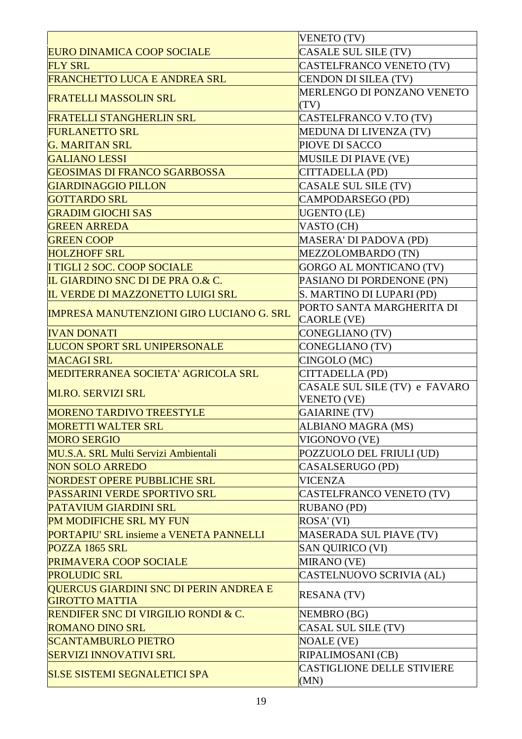|                                                 | VENETO (TV)                        |
|-------------------------------------------------|------------------------------------|
| <b>EURO DINAMICA COOP SOCIALE</b>               | CASALE SUL SILE (TV)               |
| <b>FLY SRL</b>                                  | CASTELFRANCO VENETO (TV)           |
| <b>FRANCHETTO LUCA E ANDREA SRL</b>             | CENDON DI SILEA (TV)               |
| <b>FRATELLI MASSOLIN SRL</b>                    | MERLENGO DI PONZANO VENETO<br>(TV) |
| <b>FRATELLI STANGHERLIN SRL</b>                 | CASTELFRANCO V.TO (TV)             |
| <b>FURLANETTO SRL</b>                           | <b>MEDUNA DI LIVENZA (TV)</b>      |
| <b>G. MARITAN SRL</b>                           | PIOVE DI SACCO                     |
| <b>GALIANO LESSI</b>                            | <b>MUSILE DI PIAVE (VE)</b>        |
| <b>GEOSIMAS DI FRANCO SGARBOSSA</b>             | CITTADELLA (PD)                    |
| <b>GIARDINAGGIO PILLON</b>                      | CASALE SUL SILE (TV)               |
| <b>GOTTARDO SRL</b>                             | CAMPODARSEGO (PD)                  |
| <b>GRADIM GIOCHI SAS</b>                        | <b>UGENTO</b> (LE)                 |
| <b>GREEN ARREDA</b>                             | VASTO (CH)                         |
| <b>GREEN COOP</b>                               | MASERA' DI PADOVA (PD)             |
| <b>HOLZHOFF SRL</b>                             | MEZZOLOMBARDO (TN)                 |
| I TIGLI 2 SOC. COOP SOCIALE                     | <b>GORGO AL MONTICANO (TV)</b>     |
| IL GIARDINO SNC DI DE PRA O.& C.                | PASIANO DI PORDENONE (PN)          |
| IL VERDE DI MAZZONETTO LUIGI SRL                | S. MARTINO DI LUPARI (PD)          |
|                                                 | PORTO SANTA MARGHERITA DI          |
| <b>IMPRESA MANUTENZIONI GIRO LUCIANO G. SRL</b> | <b>CAORLE (VE)</b>                 |
| <b>IVAN DONATI</b>                              | CONEGLIANO (TV)                    |
| <b>LUCON SPORT SRL UNIPERSONALE</b>             | CONEGLIANO (TV)                    |
| <b>MACAGI SRL</b>                               | CINGOLO (MC)                       |
| <b>MEDITERRANEA SOCIETA' AGRICOLA SRL</b>       | CITTADELLA (PD)                    |
|                                                 | CASALE SUL SILE (TV) e FAVARO      |
| <b>MI.RO. SERVIZI SRL</b>                       | <b>VENETO (VE)</b>                 |
| <b>MORENO TARDIVO TREESTYLE</b>                 | <b>GAIARINE (TV)</b>               |
| <b>MORETTI WALTER SRL</b>                       | ALBIANO MAGRA (MS)                 |
| <b>MORO SERGIO</b>                              | VIGONOVO (VE)                      |
| MU.S.A. SRL Multi Servizi Ambientali            | POZZUOLO DEL FRIULI (UD)           |
| <b>NON SOLO ARREDO</b>                          | CASALSERUGO (PD)                   |
| <b>NORDEST OPERE PUBBLICHE SRL</b>              | VICENZA                            |
| PASSARINI VERDE SPORTIVO SRL                    | CASTELFRANCO VENETO (TV)           |
| <b>PATAVIUM GIARDINI SRL</b>                    | <b>RUBANO (PD)</b>                 |
| PM MODIFICHE SRL MY FUN                         | ROSA' (VI)                         |
| PORTAPIU' SRL insieme a VENETA PANNELLI         | <b>MASERADA SUL PIAVE (TV)</b>     |
| POZZA 1865 SRL                                  | <b>SAN QUIRICO (VI)</b>            |
| PRIMAVERA COOP SOCIALE                          | <b>MIRANO</b> (VE)                 |
| <b>PROLUDIC SRL</b>                             | CASTELNUOVO SCRIVIA (AL)           |
| QUERCUS GIARDINI SNC DI PERIN ANDREA E          | <b>RESANA (TV)</b>                 |
| <b>GIROTTO MATTIA</b>                           |                                    |
| <b>RENDIFER SNC DI VIRGILIO RONDI &amp; C.</b>  | NEMBRO (BG)                        |
| <b>ROMANO DINO SRL</b>                          | CASAL SUL SILE (TV)                |
| <b>SCANTAMBURLO PIETRO</b>                      | <b>NOALE (VE)</b>                  |
| <b>SERVIZI INNOVATIVI SRL</b>                   | RIPALIMOSANI (CB)                  |
| <b>SI.SE SISTEMI SEGNALETICI SPA</b>            | CASTIGLIONE DELLE STIVIERE         |
|                                                 | (MN)                               |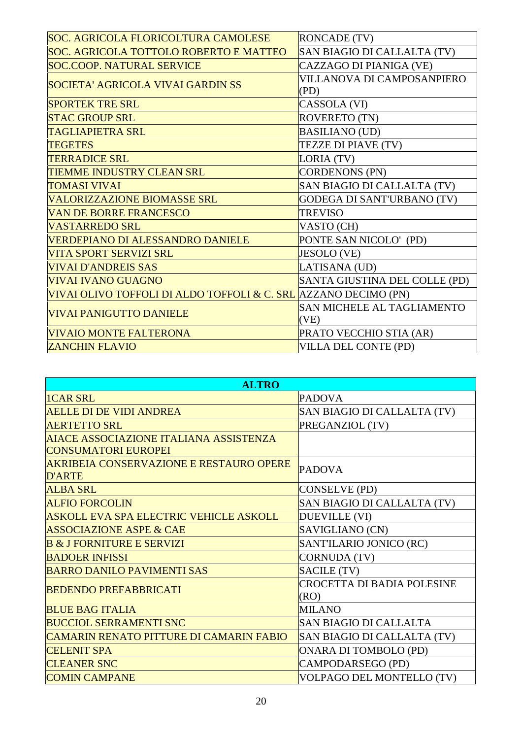| SOC. AGRICOLA FLORICOLTURA CAMOLESE                             | <b>RONCADE (TV)</b>                |
|-----------------------------------------------------------------|------------------------------------|
| SOC. AGRICOLA TOTTOLO ROBERTO E MATTEO                          | SAN BIAGIO DI CALLALTA (TV)        |
| <b>SOC.COOP. NATURAL SERVICE</b>                                | CAZZAGO DI PIANIGA (VE)            |
| <b>SOCIETA' AGRICOLA VIVAI GARDIN SS</b>                        | VILLANOVA DI CAMPOSANPIERO<br>(PD) |
| <b>SPORTEK TRE SRL</b>                                          | CASSOLA (VI)                       |
| <b>STAC GROUP SRL</b>                                           | <b>ROVERETO (TN)</b>               |
| <b>TAGLIAPIETRA SRL</b>                                         | <b>BASILIANO (UD)</b>              |
| <b>TEGETES</b>                                                  | TEZZE DI PIAVE (TV)                |
| <b>TERRADICE SRL</b>                                            | LORIA (TV)                         |
| TIEMME INDUSTRY CLEAN SRL                                       | <b>CORDENONS (PN)</b>              |
| <b>TOMASI VIVAI</b>                                             | SAN BIAGIO DI CALLALTA (TV)        |
| VALORIZZAZIONE BIOMASSE SRL                                     | GODEGA DI SANT'URBANO (TV)         |
| <b>VAN DE BORRE FRANCESCO</b>                                   | <b>TREVISO</b>                     |
| <b>VASTARREDO SRL</b>                                           | VASTO (CH)                         |
| VERDEPIANO DI ALESSANDRO DANIELE                                | PONTE SAN NICOLO' (PD)             |
| VITA SPORT SERVIZI SRL                                          | <b>JESOLO (VE)</b>                 |
| <b>VIVAI D'ANDREIS SAS</b>                                      | LATISANA (UD)                      |
| <b>VIVAI IVANO GUAGNO</b>                                       | SANTA GIUSTINA DEL COLLE (PD)      |
| VIVAI OLIVO TOFFOLI DI ALDO TOFFOLI & C. SRL AZZANO DECIMO (PN) |                                    |
| VIVAI PANIGUTTO DANIELE                                         | SAN MICHELE AL TAGLIAMENTO<br>(VE) |
| <b>VIVAIO MONTE FALTERONA</b>                                   | PRATO VECCHIO STIA (AR)            |
| <b>ZANCHIN FLAVIO</b>                                           | <b>VILLA DEL CONTE (PD)</b>        |

| <b>ALTRO</b>                                   |                               |  |
|------------------------------------------------|-------------------------------|--|
| <b>ICAR SRL</b>                                | <b>PADOVA</b>                 |  |
| <b>AELLE DI DE VIDI ANDREA</b>                 | SAN BIAGIO DI CALLALTA (TV)   |  |
| <b>AERTETTO SRL</b>                            | PREGANZIOL (TV)               |  |
| AIACE ASSOCIAZIONE ITALIANA ASSISTENZA         |                               |  |
| <b>CONSUMATORI EUROPEI</b>                     |                               |  |
| <b>AKRIBEIA CONSERVAZIONE E RESTAURO OPERE</b> | <b>PADOVA</b>                 |  |
| <b>D'ARTE</b>                                  |                               |  |
| <b>ALBA SRL</b>                                | CONSELVE (PD)                 |  |
| <b>ALFIO FORCOLIN</b>                          | SAN BIAGIO DI CALLALTA (TV)   |  |
| <b>ASKOLL EVA SPA ELECTRIC VEHICLE ASKOLL</b>  | <b>DUEVILLE (VI)</b>          |  |
| <b>ASSOCIAZIONE ASPE &amp; CAE</b>             | SAVIGLIANO (CN)               |  |
| <b>B &amp; J FORNITURE E SERVIZI</b>           | SANT'ILARIO JONICO (RC)       |  |
| <b>BADOER INFISSI</b>                          | <b>CORNUDA (TV)</b>           |  |
| <b>BARRO DANILO PAVIMENTI SAS</b>              | SACILE (TV)                   |  |
| <b>BEDENDO PREFABBRICATI</b>                   | CROCETTA DI BADIA POLESINE    |  |
|                                                | (RO)                          |  |
| <b>BLUE BAG ITALIA</b>                         | <b>MILANO</b>                 |  |
| <b>BUCCIOL SERRAMENTI SNC</b>                  | <b>SAN BIAGIO DI CALLALTA</b> |  |
| <b>CAMARIN RENATO PITTURE DI CAMARIN FABIO</b> | SAN BIAGIO DI CALLALTA (TV)   |  |
| <b>CELENIT SPA</b>                             | <b>ONARA DI TOMBOLO (PD)</b>  |  |
| <b>CLEANER SNC</b>                             | CAMPODARSEGO (PD)             |  |
| <b>COMIN CAMPANE</b>                           | VOLPAGO DEL MONTELLO (TV)     |  |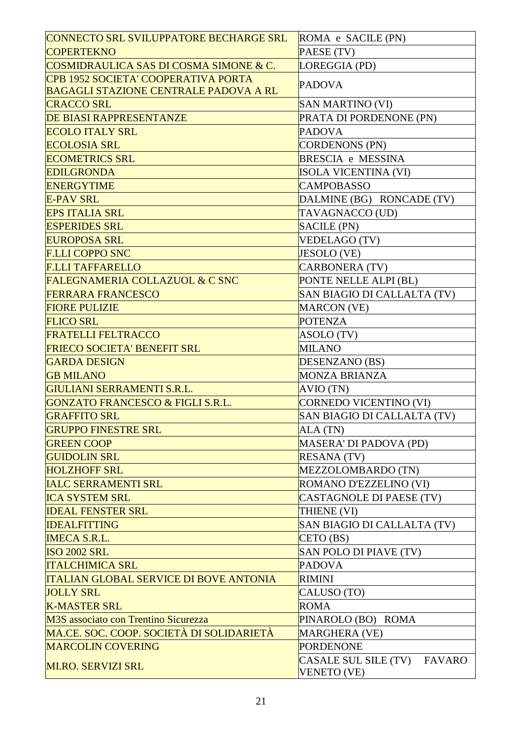| CONNECTO SRL SVILUPPATORE BECHARGE SRL        | ROMA e SACILE (PN)                    |
|-----------------------------------------------|---------------------------------------|
| <b>COPERTEKNO</b>                             | PAESE (TV)                            |
| COSMIDRAULICA SAS DI COSMA SIMONE & C.        | LOREGGIA (PD)                         |
| CPB 1952 SOCIETA' COOPERATIVA PORTA           | <b>PADOVA</b>                         |
| <b>BAGAGLI STAZIONE CENTRALE PADOVA A RL</b>  |                                       |
| <b>CRACCO SRL</b>                             | <b>SAN MARTINO (VI)</b>               |
| DE BIASI RAPPRESENTANZE                       | PRATA DI PORDENONE (PN)               |
| <b>ECOLO ITALY SRL</b>                        | <b>PADOVA</b>                         |
| <b>ECOLOSIA SRL</b>                           | <b>CORDENONS (PN)</b>                 |
| <b>ECOMETRICS SRL</b>                         | BRESCIA e MESSINA                     |
| <b>EDILGRONDA</b>                             | <b>ISOLA VICENTINA (VI)</b>           |
| <b>ENERGYTIME</b>                             | <b>CAMPOBASSO</b>                     |
| <b>E-PAV SRL</b>                              | DALMINE (BG) RONCADE (TV)             |
| <b>EPS ITALIA SRL</b>                         | TAVAGNACCO (UD)                       |
| <b>ESPERIDES SRL</b>                          | <b>SACILE (PN)</b>                    |
| <b>EUROPOSA SRL</b>                           | VEDELAGO (TV)                         |
| <b>F.LLI COPPO SNC</b>                        | <b>JESOLO</b> (VE)                    |
| <b>F.LLI TAFFARELLO</b>                       | <b>CARBONERA (TV)</b>                 |
| <b>FALEGNAMERIA COLLAZUOL &amp; C SNC</b>     | PONTE NELLE ALPI (BL)                 |
| <b>FERRARA FRANCESCO</b>                      | SAN BIAGIO DI CALLALTA (TV)           |
| <b>FIORE PULIZIE</b>                          | <b>MARCON</b> (VE)                    |
| <b>FLICO SRL</b>                              | <b>POTENZA</b>                        |
| <b>FRATELLI FELTRACCO</b>                     | ASOLO (TV)                            |
| <b>FRIECO SOCIETA' BENEFIT SRL</b>            | <b>MILANO</b>                         |
| <b>GARDA DESIGN</b>                           | DESENZANO (BS)                        |
| <b>GB MILANO</b>                              | <b>MONZA BRIANZA</b>                  |
| GIULIANI SERRAMENTI S.R.L.                    | AVIO (TN)                             |
| <b>GONZATO FRANCESCO &amp; FIGLI S.R.L.</b>   | <b>CORNEDO VICENTINO (VI)</b>         |
| <b>GRAFFITO SRL</b>                           | SAN BIAGIO DI CALLALTA (TV)           |
| <b>GRUPPO FINESTRE SRL</b>                    | ALA (TN)                              |
| <b>GREEN COOP</b>                             | MASERA' DI PADOVA (PD)                |
| <b>GUIDOLIN SRL</b>                           | <b>RESANA (TV)</b>                    |
| <b>HOLZHOFF SRL</b>                           | MEZZOLOMBARDO (TN)                    |
| <b>IALC SERRAMENTI SRL</b>                    | ROMANO D'EZZELINO (VI)                |
| <b>ICA SYSTEM SRL</b>                         | <b>CASTAGNOLE DI PAESE (TV)</b>       |
| <b>IDEAL FENSTER SRL</b>                      | THIENE (VI)                           |
| <b>IDEALFITTING</b>                           | SAN BIAGIO DI CALLALTA (TV)           |
| <b>IMECA S.R.L.</b>                           | CETO (BS)                             |
| <b>ISO 2002 SRL</b>                           | SAN POLO DI PIAVE (TV)                |
| <b>ITALCHIMICA SRL</b>                        | <b>PADOVA</b>                         |
| <b>ITALIAN GLOBAL SERVICE DI BOVE ANTONIA</b> | <b>RIMINI</b>                         |
| <b>JOLLY SRL</b>                              | CALUSO (TO)                           |
| <b>K-MASTER SRL</b>                           | <b>ROMA</b>                           |
| M3S associato con Trentino Sicurezza          | PINAROLO (BO) ROMA                    |
| MA.CE. SOC. COOP. SOCIETÀ DI SOLIDARIETÀ      | <b>MARGHERA (VE)</b>                  |
| <b>MARCOLIN COVERING</b>                      | <b>PORDENONE</b>                      |
| <b>MI.RO. SERVIZI SRL</b>                     | CASALE SUL SILE (TV)<br><b>FAVARO</b> |
|                                               | <b>VENETO (VE)</b>                    |